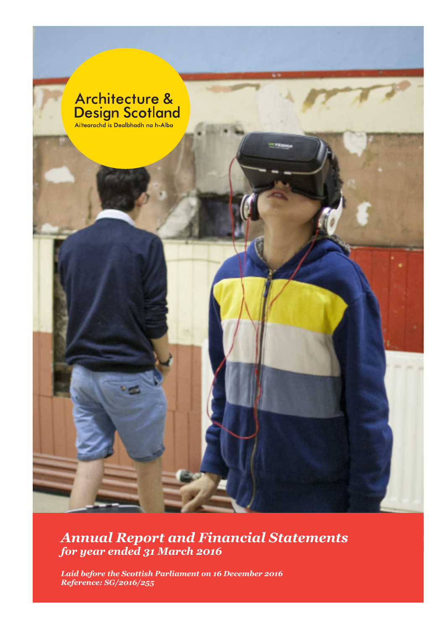

*Annual Report and Financial Statements for year ended 31 March 2016*

*Laid before the Scottish Parliament on 16 December 2016 Reference: SG/2016/255*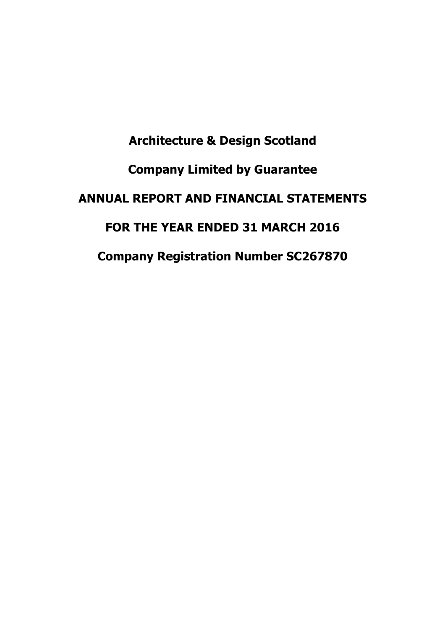**Architecture & Design Scotland Company Limited by Guarantee ANNUAL REPORT AND FINANCIAL STATEMENTS FOR THE YEAR ENDED 31 MARCH 2016 Company Registration Number SC267870**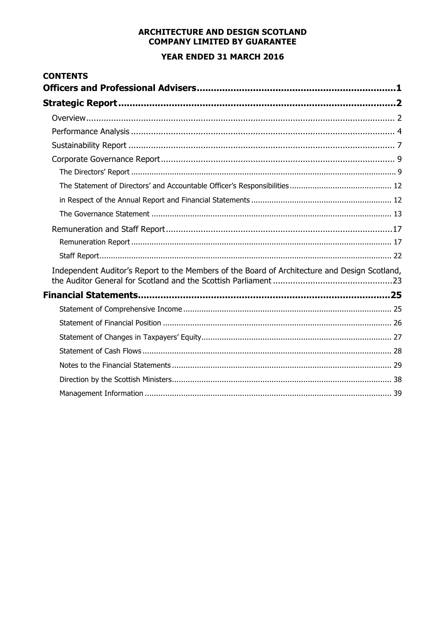# YEAR ENDED 31 MARCH 2016

| <b>CONTENTS</b>                                                                               |  |
|-----------------------------------------------------------------------------------------------|--|
|                                                                                               |  |
|                                                                                               |  |
|                                                                                               |  |
|                                                                                               |  |
|                                                                                               |  |
|                                                                                               |  |
|                                                                                               |  |
|                                                                                               |  |
|                                                                                               |  |
|                                                                                               |  |
|                                                                                               |  |
|                                                                                               |  |
| Independent Auditor's Report to the Members of the Board of Architecture and Design Scotland, |  |
|                                                                                               |  |
|                                                                                               |  |
|                                                                                               |  |
|                                                                                               |  |
|                                                                                               |  |
|                                                                                               |  |
|                                                                                               |  |
|                                                                                               |  |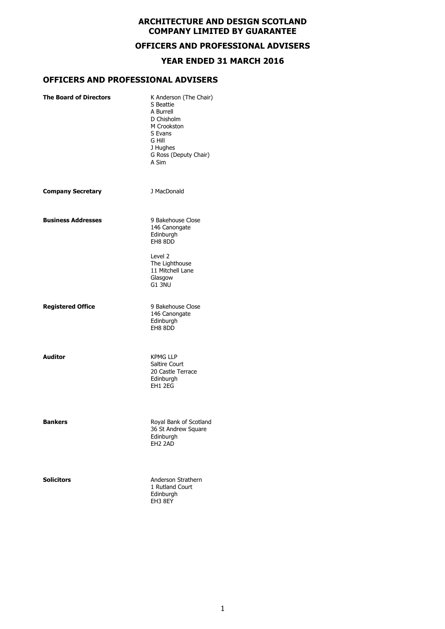# **OFFICERS AND PROFESSIONAL ADVISERS**

# **YEAR ENDED 31 MARCH 2016**

# **OFFICERS AND PROFESSIONAL ADVISERS**

| <b>The Board of Directors</b> | K Anderson (The Chair)<br>S Beattie<br>A Burrell<br>D Chisholm<br>M Crookston<br>S Evans<br>G Hill<br>J Hughes<br>G Ross (Deputy Chair)<br>A Sim |
|-------------------------------|--------------------------------------------------------------------------------------------------------------------------------------------------|
| <b>Company Secretary</b>      | J MacDonald                                                                                                                                      |
| <b>Business Addresses</b>     | 9 Bakehouse Close<br>146 Canongate<br>Edinburgh<br>EH8 8DD                                                                                       |
|                               | Level 2<br>The Lighthouse<br>11 Mitchell Lane<br>Glasgow<br>G1 3NU                                                                               |
| <b>Registered Office</b>      | 9 Bakehouse Close<br>146 Canongate<br>Edinburgh<br>EH8 8DD                                                                                       |
| <b>Auditor</b>                | <b>KPMG LLP</b><br>Saltire Court<br>20 Castle Terrace<br>Edinburgh<br>FH1 2FG                                                                    |
| <b>Bankers</b>                | Royal Bank of Scotland<br>36 St Andrew Square<br>Edinburgh<br>EH2 2AD                                                                            |
| <b>Solicitors</b>             | Anderson Strathern<br>1 Rutland Court<br>Edinburgh<br>EH3 8EY                                                                                    |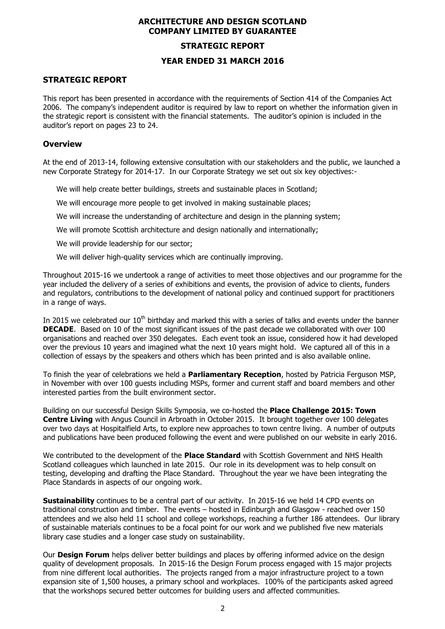# **STRATEGIC REPORT**

## **YEAR ENDED 31 MARCH 2016**

## **STRATEGIC REPORT**

This report has been presented in accordance with the requirements of Section 414 of the Companies Act 2006. The company's independent auditor is required by law to report on whether the information given in the strategic report is consistent with the financial statements. The auditor's opinion is included in the auditor's report on pages 23 to 24.

## **Overview**

At the end of 2013-14, following extensive consultation with our stakeholders and the public, we launched a new Corporate Strategy for 2014-17. In our Corporate Strategy we set out six key objectives:-

We will help create better buildings, streets and sustainable places in Scotland;

We will encourage more people to get involved in making sustainable places;

We will increase the understanding of architecture and design in the planning system;

We will promote Scottish architecture and design nationally and internationally:

We will provide leadership for our sector;

We will deliver high-quality services which are continually improving.

Throughout 2015-16 we undertook a range of activities to meet those objectives and our programme for the year included the delivery of a series of exhibitions and events, the provision of advice to clients, funders and regulators, contributions to the development of national policy and continued support for practitioners in a range of ways.

In 2015 we celebrated our  $10^{th}$  birthday and marked this with a series of talks and events under the banner **DECADE**. Based on 10 of the most significant issues of the past decade we collaborated with over 100 organisations and reached over 350 delegates. Each event took an issue, considered how it had developed over the previous 10 years and imagined what the next 10 years might hold. We captured all of this in a collection of essays by the speakers and others which has been printed and is also available online.

To finish the year of celebrations we held a **Parliamentary Reception**, hosted by Patricia Ferguson MSP, in November with over 100 guests including MSPs, former and current staff and board members and other interested parties from the built environment sector.

Building on our successful Design Skills Symposia, we co-hosted the **Place Challenge 2015: Town Centre Living** with Angus Council in Arbroath in October 2015. It brought together over 100 delegates over two days at Hospitalfield Arts, to explore new approaches to town centre living. A number of outputs and publications have been produced following the event and were published on our website in early 2016.

We contributed to the development of the **Place Standard** with Scottish Government and NHS Health Scotland colleagues which launched in late 2015. Our role in its development was to help consult on testing, developing and drafting the Place Standard. Throughout the year we have been integrating the Place Standards in aspects of our ongoing work.

**Sustainability** continues to be a central part of our activity. In 2015-16 we held 14 CPD events on traditional construction and timber. The events – hosted in Edinburgh and Glasgow - reached over 150 attendees and we also held 11 school and college workshops, reaching a further 186 attendees. Our library of sustainable materials continues to be a focal point for our work and we published five new materials library case studies and a longer case study on sustainability.

Our **Design Forum** helps deliver better buildings and places by offering informed advice on the design quality of development proposals. In 2015-16 the Design Forum process engaged with 15 major projects from nine different local authorities. The projects ranged from a major infrastructure project to a town expansion site of 1,500 houses, a primary school and workplaces. 100% of the participants asked agreed that the workshops secured better outcomes for building users and affected communities.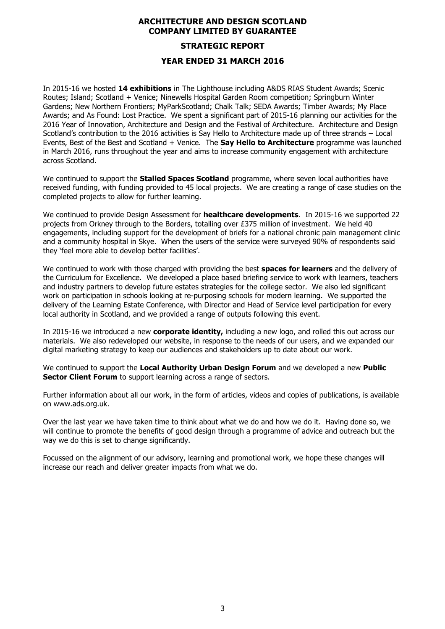## **STRATEGIC REPORT**

## **YEAR ENDED 31 MARCH 2016**

In 2015-16 we hosted **14 exhibitions** in The Lighthouse including A&DS RIAS Student Awards; Scenic Routes; Island; Scotland + Venice; Ninewells Hospital Garden Room competition; Springburn Winter Gardens; New Northern Frontiers; MyParkScotland; Chalk Talk; SEDA Awards; Timber Awards; My Place Awards; and As Found: Lost Practice. We spent a significant part of 2015-16 planning our activities for the 2016 Year of Innovation, Architecture and Design and the Festival of Architecture. Architecture and Design Scotland's contribution to the 2016 activities is Say Hello to Architecture made up of three strands – Local Events, Best of the Best and Scotland + Venice. The **Say Hello to Architecture** programme was launched in March 2016, runs throughout the year and aims to increase community engagement with architecture across Scotland.

We continued to support the **Stalled Spaces Scotland** programme, where seven local authorities have received funding, with funding provided to 45 local projects. We are creating a range of case studies on the completed projects to allow for further learning.

We continued to provide Design Assessment for **healthcare developments**. In 2015-16 we supported 22 projects from Orkney through to the Borders, totalling over £375 million of investment. We held 40 engagements, including support for the development of briefs for a national chronic pain management clinic and a community hospital in Skye. When the users of the service were surveyed 90% of respondents said they 'feel more able to develop better facilities'.

We continued to work with those charged with providing the best **spaces for learners** and the delivery of the Curriculum for Excellence. We developed a place based briefing service to work with learners, teachers and industry partners to develop future estates strategies for the college sector. We also led significant work on participation in schools looking at re-purposing schools for modern learning. We supported the delivery of the Learning Estate Conference, with Director and Head of Service level participation for every local authority in Scotland, and we provided a range of outputs following this event.

In 2015-16 we introduced a new **corporate identity,** including a new logo, and rolled this out across our materials. We also redeveloped our website, in response to the needs of our users, and we expanded our digital marketing strategy to keep our audiences and stakeholders up to date about our work.

We continued to support the **Local Authority Urban Design Forum** and we developed a new **Public Sector Client Forum** to support learning across a range of sectors.

Further information about all our work, in the form of articles, videos and copies of publications, is available on www.ads.org.uk.

Over the last year we have taken time to think about what we do and how we do it. Having done so, we will continue to promote the benefits of good design through a programme of advice and outreach but the way we do this is set to change significantly.

Focussed on the alignment of our advisory, learning and promotional work, we hope these changes will increase our reach and deliver greater impacts from what we do.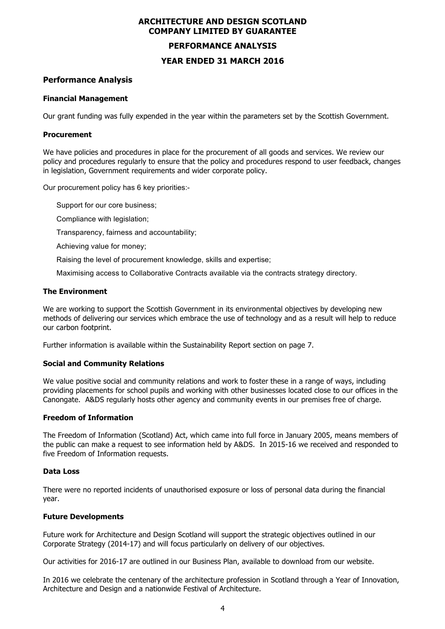## **PERFORMANCE ANALYSIS**

## **YEAR ENDED 31 MARCH 2016**

## **Performance Analysis**

#### **Financial Management**

Our grant funding was fully expended in the year within the parameters set by the Scottish Government.

#### **Procurement**

We have policies and procedures in place for the procurement of all goods and services. We review our policy and procedures regularly to ensure that the policy and procedures respond to user feedback, changes in legislation, Government requirements and wider corporate policy.

Our procurement policy has 6 key priorities:-

- Support for our core business;
- Compliance with legislation;
- Transparency, fairness and accountability;
- Achieving value for money;
- Raising the level of procurement knowledge, skills and expertise;
- Maximising access to Collaborative Contracts available via the contracts strategy directory.

#### **The Environment**

We are working to support the Scottish Government in its environmental objectives by developing new methods of delivering our services which embrace the use of technology and as a result will help to reduce our carbon footprint.

Further information is available within the Sustainability Report section on page 7.

## **Social and Community Relations**

We value positive social and community relations and work to foster these in a range of ways, including providing placements for school pupils and working with other businesses located close to our offices in the Canongate. A&DS regularly hosts other agency and community events in our premises free of charge.

## **Freedom of Information**

The Freedom of Information (Scotland) Act, which came into full force in January 2005, means members of the public can make a request to see information held by A&DS. In 2015-16 we received and responded to five Freedom of Information requests.

#### **Data Loss**

There were no reported incidents of unauthorised exposure or loss of personal data during the financial year.

## **Future Developments**

Future work for Architecture and Design Scotland will support the strategic objectives outlined in our Corporate Strategy (2014-17) and will focus particularly on delivery of our objectives.

Our activities for 2016-17 are outlined in our Business Plan, available to download from our website.

In 2016 we celebrate the centenary of the architecture profession in Scotland through a Year of Innovation, Architecture and Design and a nationwide Festival of Architecture.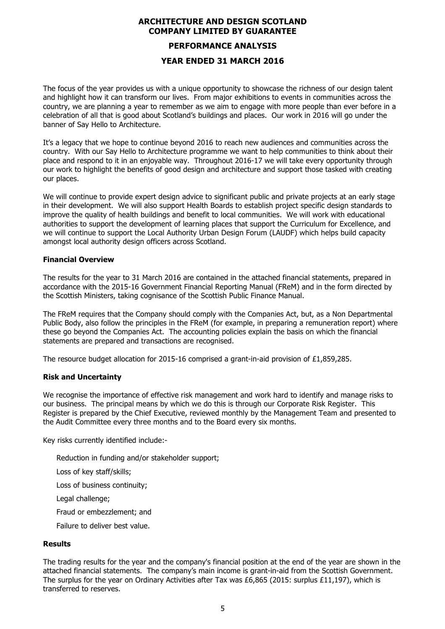## **PERFORMANCE ANALYSIS**

## **YEAR ENDED 31 MARCH 2016**

The focus of the year provides us with a unique opportunity to showcase the richness of our design talent and highlight how it can transform our lives. From major exhibitions to events in communities across the country, we are planning a year to remember as we aim to engage with more people than ever before in a celebration of all that is good about Scotland's buildings and places. Our work in 2016 will go under the banner of Say Hello to Architecture.

It's a legacy that we hope to continue beyond 2016 to reach new audiences and communities across the country. With our Say Hello to Architecture programme we want to help communities to think about their place and respond to it in an enjoyable way. Throughout 2016-17 we will take every opportunity through our work to highlight the benefits of good design and architecture and support those tasked with creating our places.

We will continue to provide expert design advice to significant public and private projects at an early stage in their development. We will also support Health Boards to establish project specific design standards to improve the quality of health buildings and benefit to local communities. We will work with educational authorities to support the development of learning places that support the Curriculum for Excellence, and we will continue to support the Local Authority Urban Design Forum (LAUDF) which helps build capacity amongst local authority design officers across Scotland.

## **Financial Overview**

The results for the year to 31 March 2016 are contained in the attached financial statements, prepared in accordance with the 2015-16 Government Financial Reporting Manual (FReM) and in the form directed by the Scottish Ministers, taking cognisance of the Scottish Public Finance Manual.

The FReM requires that the Company should comply with the Companies Act, but, as a Non Departmental Public Body, also follow the principles in the FReM (for example, in preparing a remuneration report) where these go beyond the Companies Act. The accounting policies explain the basis on which the financial statements are prepared and transactions are recognised.

The resource budget allocation for 2015-16 comprised a grant-in-aid provision of £1,859,285.

## **Risk and Uncertainty**

We recognise the importance of effective risk management and work hard to identify and manage risks to our business. The principal means by which we do this is through our Corporate Risk Register. This Register is prepared by the Chief Executive, reviewed monthly by the Management Team and presented to the Audit Committee every three months and to the Board every six months.

Key risks currently identified include:-

Reduction in funding and/or stakeholder support;

Loss of key staff/skills;

Loss of business continuity;

Legal challenge;

Fraud or embezzlement; and

Failure to deliver best value.

## **Results**

The trading results for the year and the company's financial position at the end of the year are shown in the attached financial statements. The company's main income is grant-in-aid from the Scottish Government. The surplus for the year on Ordinary Activities after Tax was £6,865 (2015; surplus £11,197), which is transferred to reserves.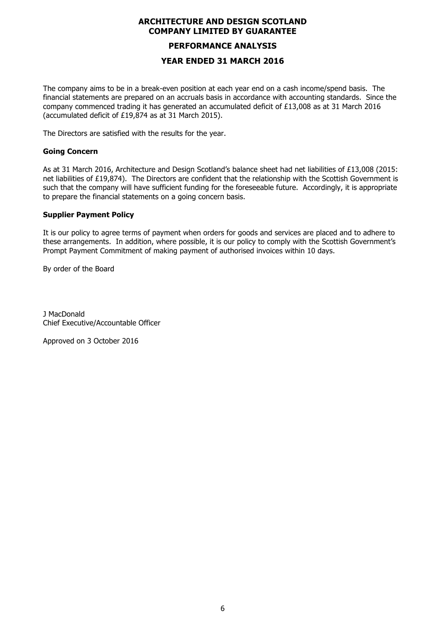## **PERFORMANCE ANALYSIS**

## **YEAR ENDED 31 MARCH 2016**

The company aims to be in a break-even position at each year end on a cash income/spend basis. The financial statements are prepared on an accruals basis in accordance with accounting standards. Since the company commenced trading it has generated an accumulated deficit of £13,008 as at 31 March 2016 (accumulated deficit of £19,874 as at 31 March 2015).

The Directors are satisfied with the results for the year.

## **Going Concern**

As at 31 March 2016, Architecture and Design Scotland's balance sheet had net liabilities of £13,008 (2015: net liabilities of £19,874). The Directors are confident that the relationship with the Scottish Government is such that the company will have sufficient funding for the foreseeable future. Accordingly, it is appropriate to prepare the financial statements on a going concern basis.

#### **Supplier Payment Policy**

It is our policy to agree terms of payment when orders for goods and services are placed and to adhere to these arrangements. In addition, where possible, it is our policy to comply with the Scottish Government's Prompt Payment Commitment of making payment of authorised invoices within 10 days.

By order of the Board

J MacDonald Chief Executive/Accountable Officer

Approved on 3 October 2016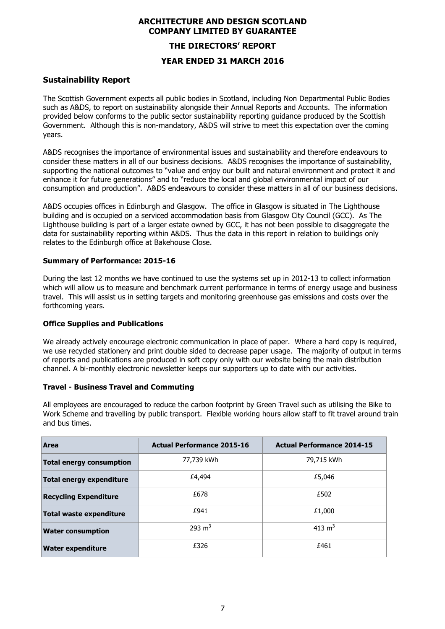## **THE DIRECTORS' REPORT**

## **YEAR ENDED 31 MARCH 2016**

## **Sustainability Report**

The Scottish Government expects all public bodies in Scotland, including Non Departmental Public Bodies such as A&DS, to report on sustainability alongside their Annual Reports and Accounts. The information provided below conforms to the public sector sustainability reporting guidance produced by the Scottish Government. Although this is non-mandatory, A&DS will strive to meet this expectation over the coming years.

A&DS recognises the importance of environmental issues and sustainability and therefore endeavours to consider these matters in all of our business decisions. A&DS recognises the importance of sustainability, supporting the national outcomes to "value and enjoy our built and natural environment and protect it and enhance it for future generations" and to "reduce the local and global environmental impact of our consumption and production". A&DS endeavours to consider these matters in all of our business decisions.

A&DS occupies offices in Edinburgh and Glasgow. The office in Glasgow is situated in The Lighthouse building and is occupied on a serviced accommodation basis from Glasgow City Council (GCC). As The Lighthouse building is part of a larger estate owned by GCC, it has not been possible to disaggregate the data for sustainability reporting within A&DS. Thus the data in this report in relation to buildings only relates to the Edinburgh office at Bakehouse Close.

## **Summary of Performance: 2015-16**

During the last 12 months we have continued to use the systems set up in 2012-13 to collect information which will allow us to measure and benchmark current performance in terms of energy usage and business travel. This will assist us in setting targets and monitoring greenhouse gas emissions and costs over the forthcoming years.

## **Office Supplies and Publications**

We already actively encourage electronic communication in place of paper. Where a hard copy is required, we use recycled stationery and print double sided to decrease paper usage. The majority of output in terms of reports and publications are produced in soft copy only with our website being the main distribution channel. A bi-monthly electronic newsletter keeps our supporters up to date with our activities.

## **Travel - Business Travel and Commuting**

All employees are encouraged to reduce the carbon footprint by Green Travel such as utilising the Bike to Work Scheme and travelling by public transport. Flexible working hours allow staff to fit travel around train and bus times.

| Area<br><b>Actual Performance 2015-16</b> |            | <b>Actual Performance 2014-15</b> |
|-------------------------------------------|------------|-----------------------------------|
| <b>Total energy consumption</b>           | 77,739 kWh | 79,715 kWh                        |
| <b>Total energy expenditure</b>           | £4,494     | £5,046                            |
| <b>Recycling Expenditure</b>              | £678       | £502                              |
| Total waste expenditure                   | £941       | £1,000                            |
| <b>Water consumption</b>                  | 293 $m3$   | 413 $m3$                          |
| <b>Water expenditure</b>                  | £326       | £461                              |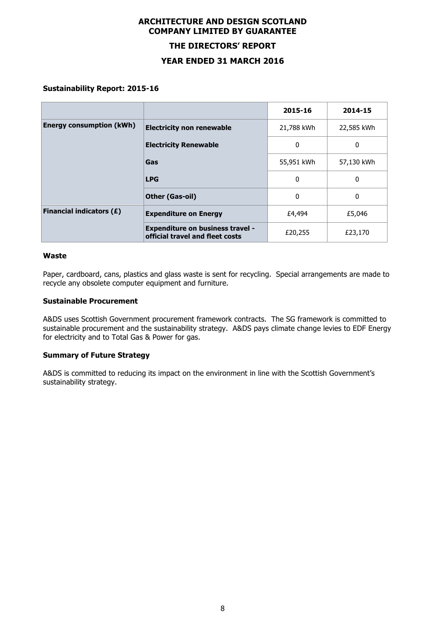# **ARCHITECTURE AND DESIGN SCOTLAND COMPANY LIMITED BY GUARANTEE THE DIRECTORS' REPORT YEAR ENDED 31 MARCH 2016**

## **Sustainability Report: 2015-16**

|                                 |                                                                            | 2015-16    | 2014-15    |
|---------------------------------|----------------------------------------------------------------------------|------------|------------|
| <b>Energy consumption (kWh)</b> | <b>Electricity non renewable</b>                                           | 21,788 kWh | 22,585 kWh |
|                                 | <b>Electricity Renewable</b>                                               | 0          | 0          |
|                                 | Gas                                                                        | 55,951 kWh | 57,130 kWh |
|                                 | <b>LPG</b>                                                                 | 0          | 0          |
|                                 | Other (Gas-oil)                                                            | 0          | 0          |
| <b>Financial indicators (£)</b> | <b>Expenditure on Energy</b>                                               | £4,494     | £5,046     |
|                                 | <b>Expenditure on business travel -</b><br>official travel and fleet costs | £20,255    | £23,170    |

#### **Waste**

Paper, cardboard, cans, plastics and glass waste is sent for recycling. Special arrangements are made to recycle any obsolete computer equipment and furniture.

## **Sustainable Procurement**

A&DS uses Scottish Government procurement framework contracts. The SG framework is committed to sustainable procurement and the sustainability strategy. A&DS pays climate change levies to EDF Energy for electricity and to Total Gas & Power for gas.

## **Summary of Future Strategy**

A&DS is committed to reducing its impact on the environment in line with the Scottish Government's sustainability strategy.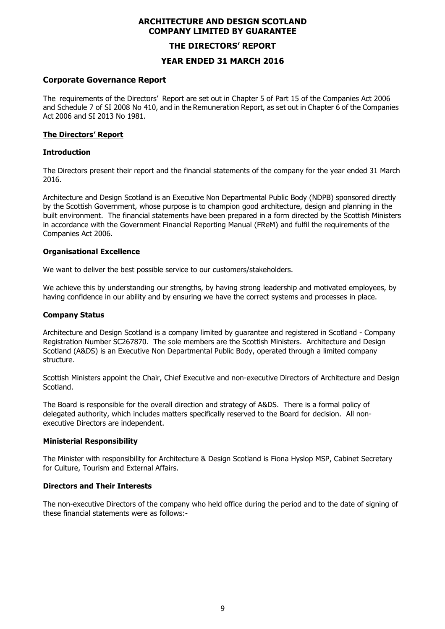# **THE DIRECTORS' REPORT**

## **YEAR ENDED 31 MARCH 2016**

## **Corporate Governance Report**

The requirements of the Directors' Report are set out in Chapter 5 of Part 15 of the Companies Act 2006 and Schedule 7 of SI 2008 No 410, and in the Remuneration Report, as set out in Chapter 6 of the Companies Act 2006 and SI 2013 No 1981.

## **The Directors' Report**

## **Introduction**

The Directors present their report and the financial statements of the company for the year ended 31 March 2016.

Architecture and Design Scotland is an Executive Non Departmental Public Body (NDPB) sponsored directly by the Scottish Government, whose purpose is to champion good architecture, design and planning in the built environment. The financial statements have been prepared in a form directed by the Scottish Ministers in accordance with the Government Financial Reporting Manual (FReM) and fulfil the requirements of the Companies Act 2006.

## **Organisational Excellence**

We want to deliver the best possible service to our customers/stakeholders.

We achieve this by understanding our strengths, by having strong leadership and motivated employees, by having confidence in our ability and by ensuring we have the correct systems and processes in place.

## **Company Status**

Architecture and Design Scotland is a company limited by guarantee and registered in Scotland - Company Registration Number SC267870. The sole members are the Scottish Ministers. Architecture and Design Scotland (A&DS) is an Executive Non Departmental Public Body, operated through a limited company structure.

Scottish Ministers appoint the Chair, Chief Executive and non-executive Directors of Architecture and Design Scotland.

The Board is responsible for the overall direction and strategy of A&DS. There is a formal policy of delegated authority, which includes matters specifically reserved to the Board for decision. All nonexecutive Directors are independent.

## **Ministerial Responsibility**

The Minister with responsibility for Architecture & Design Scotland is Fiona Hyslop MSP, Cabinet Secretary for Culture, Tourism and External Affairs.

## **Directors and Their Interests**

The non-executive Directors of the company who held office during the period and to the date of signing of these financial statements were as follows:-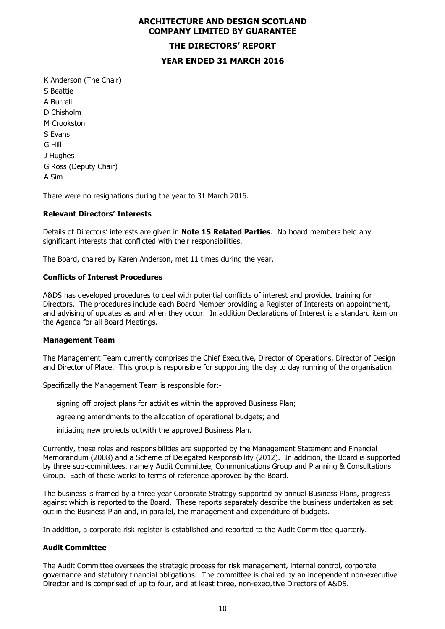## **THE DIRECTORS' REPORT**

## **YEAR ENDED 31 MARCH 2016**

K Anderson (The Chair) S Beattie A Burrell D Chisholm M Crookston S Evans G Hill J Hughes G Ross (Deputy Chair) A Sim

There were no resignations during the year to 31 March 2016.

## **Relevant Directors' Interests**

Details of Directors' interests are given in **Note 15 Related Parties**. No board members held any significant interests that conflicted with their responsibilities.

The Board, chaired by Karen Anderson, met 11 times during the year.

## **Conflicts of Interest Procedures**

A&DS has developed procedures to deal with potential conflicts of interest and provided training for Directors. The procedures include each Board Member providing a Register of Interests on appointment, and advising of updates as and when they occur. In addition Declarations of Interest is a standard item on the Agenda for all Board Meetings.

## **Management Team**

The Management Team currently comprises the Chief Executive, Director of Operations, Director of Design and Director of Place. This group is responsible for supporting the day to day running of the organisation.

Specifically the Management Team is responsible for:-

signing off project plans for activities within the approved Business Plan;

agreeing amendments to the allocation of operational budgets; and

initiating new projects outwith the approved Business Plan.

Currently, these roles and responsibilities are supported by the Management Statement and Financial Memorandum (2008) and a Scheme of Delegated Responsibility (2012). In addition, the Board is supported by three sub-committees, namely Audit Committee, Communications Group and Planning & Consultations Group. Each of these works to terms of reference approved by the Board.

The business is framed by a three year Corporate Strategy supported by annual Business Plans, progress against which is reported to the Board. These reports separately describe the business undertaken as set out in the Business Plan and, in parallel, the management and expenditure of budgets.

In addition, a corporate risk register is established and reported to the Audit Committee quarterly.

## **Audit Committee**

The Audit Committee oversees the strategic process for risk management, internal control, corporate governance and statutory financial obligations. The committee is chaired by an independent non-executive Director and is comprised of up to four, and at least three, non-executive Directors of A&DS.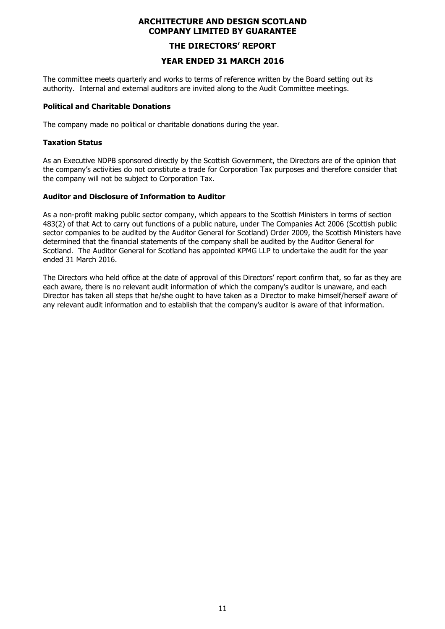# **THE DIRECTORS' REPORT**

# **YEAR ENDED 31 MARCH 2016**

The committee meets quarterly and works to terms of reference written by the Board setting out its authority. Internal and external auditors are invited along to the Audit Committee meetings.

## **Political and Charitable Donations**

The company made no political or charitable donations during the year.

## **Taxation Status**

As an Executive NDPB sponsored directly by the Scottish Government, the Directors are of the opinion that the company's activities do not constitute a trade for Corporation Tax purposes and therefore consider that the company will not be subject to Corporation Tax.

## **Auditor and Disclosure of Information to Auditor**

As a non-profit making public sector company, which appears to the Scottish Ministers in terms of section 483(2) of that Act to carry out functions of a public nature, under The Companies Act 2006 (Scottish public sector companies to be audited by the Auditor General for Scotland) Order 2009, the Scottish Ministers have determined that the financial statements of the company shall be audited by the Auditor General for Scotland. The Auditor General for Scotland has appointed KPMG LLP to undertake the audit for the year ended 31 March 2016.

The Directors who held office at the date of approval of this Directors' report confirm that, so far as they are each aware, there is no relevant audit information of which the company's auditor is unaware, and each Director has taken all steps that he/she ought to have taken as a Director to make himself/herself aware of any relevant audit information and to establish that the company's auditor is aware of that information.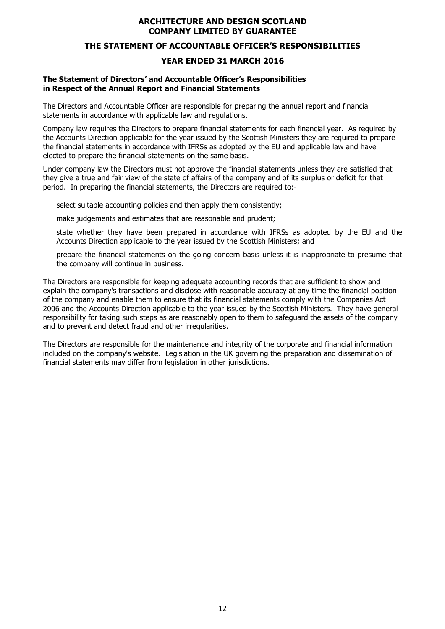# **THE STATEMENT OF ACCOUNTABLE OFFICER'S RESPONSIBILITIES**

## **YEAR ENDED 31 MARCH 2016**

#### **The Statement of Directors' and Accountable Officer's Responsibilities in Respect of the Annual Report and Financial Statements**

The Directors and Accountable Officer are responsible for preparing the annual report and financial statements in accordance with applicable law and regulations.

Company law requires the Directors to prepare financial statements for each financial year. As required by the Accounts Direction applicable for the year issued by the Scottish Ministers they are required to prepare the financial statements in accordance with IFRSs as adopted by the EU and applicable law and have elected to prepare the financial statements on the same basis.

Under company law the Directors must not approve the financial statements unless they are satisfied that they give a true and fair view of the state of affairs of the company and of its surplus or deficit for that period. In preparing the financial statements, the Directors are required to:-

select suitable accounting policies and then apply them consistently;

make judgements and estimates that are reasonable and prudent;

 state whether they have been prepared in accordance with IFRSs as adopted by the EU and the Accounts Direction applicable to the year issued by the Scottish Ministers; and

 prepare the financial statements on the going concern basis unless it is inappropriate to presume that the company will continue in business.

The Directors are responsible for keeping adequate accounting records that are sufficient to show and explain the company's transactions and disclose with reasonable accuracy at any time the financial position of the company and enable them to ensure that its financial statements comply with the Companies Act 2006 and the Accounts Direction applicable to the year issued by the Scottish Ministers. They have general responsibility for taking such steps as are reasonably open to them to safeguard the assets of the company and to prevent and detect fraud and other irregularities.

The Directors are responsible for the maintenance and integrity of the corporate and financial information included on the company's website. Legislation in the UK governing the preparation and dissemination of financial statements may differ from legislation in other jurisdictions.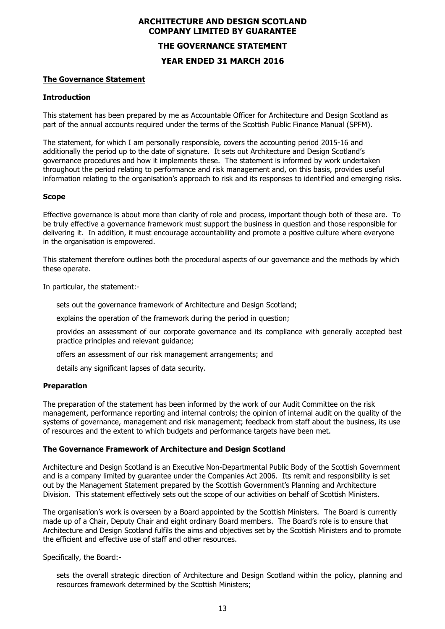# **ARCHITECTURE AND DESIGN SCOTLAND COMPANY LIMITED BY GUARANTEE THE GOVERNANCE STATEMENT YEAR ENDED 31 MARCH 2016**

#### **The Governance Statement**

#### **Introduction**

This statement has been prepared by me as Accountable Officer for Architecture and Design Scotland as part of the annual accounts required under the terms of the Scottish Public Finance Manual (SPFM).

The statement, for which I am personally responsible, covers the accounting period 2015-16 and additionally the period up to the date of signature. It sets out Architecture and Design Scotland's governance procedures and how it implements these. The statement is informed by work undertaken throughout the period relating to performance and risk management and, on this basis, provides useful information relating to the organisation's approach to risk and its responses to identified and emerging risks.

#### **Scope**

Effective governance is about more than clarity of role and process, important though both of these are. To be truly effective a governance framework must support the business in question and those responsible for delivering it. In addition, it must encourage accountability and promote a positive culture where everyone in the organisation is empowered.

This statement therefore outlines both the procedural aspects of our governance and the methods by which these operate.

In particular, the statement:-

sets out the governance framework of Architecture and Design Scotland;

explains the operation of the framework during the period in question;

 provides an assessment of our corporate governance and its compliance with generally accepted best practice principles and relevant guidance;

offers an assessment of our risk management arrangements; and

details any significant lapses of data security.

#### **Preparation**

The preparation of the statement has been informed by the work of our Audit Committee on the risk management, performance reporting and internal controls; the opinion of internal audit on the quality of the systems of governance, management and risk management; feedback from staff about the business, its use of resources and the extent to which budgets and performance targets have been met.

#### **The Governance Framework of Architecture and Design Scotland**

Architecture and Design Scotland is an Executive Non-Departmental Public Body of the Scottish Government and is a company limited by guarantee under the Companies Act 2006. Its remit and responsibility is set out by the Management Statement prepared by the Scottish Government's Planning and Architecture Division. This statement effectively sets out the scope of our activities on behalf of Scottish Ministers.

The organisation's work is overseen by a Board appointed by the Scottish Ministers. The Board is currently made up of a Chair, Deputy Chair and eight ordinary Board members. The Board's role is to ensure that Architecture and Design Scotland fulfils the aims and objectives set by the Scottish Ministers and to promote the efficient and effective use of staff and other resources.

Specifically, the Board:-

 sets the overall strategic direction of Architecture and Design Scotland within the policy, planning and resources framework determined by the Scottish Ministers;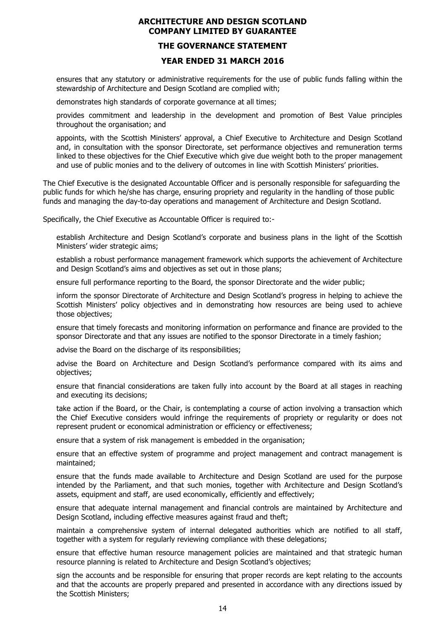## **THE GOVERNANCE STATEMENT**

## **YEAR ENDED 31 MARCH 2016**

 ensures that any statutory or administrative requirements for the use of public funds falling within the stewardship of Architecture and Design Scotland are complied with;

demonstrates high standards of corporate governance at all times;

 provides commitment and leadership in the development and promotion of Best Value principles throughout the organisation; and

 appoints, with the Scottish Ministers' approval, a Chief Executive to Architecture and Design Scotland and, in consultation with the sponsor Directorate, set performance objectives and remuneration terms linked to these objectives for the Chief Executive which give due weight both to the proper management and use of public monies and to the delivery of outcomes in line with Scottish Ministers' priorities.

The Chief Executive is the designated Accountable Officer and is personally responsible for safeguarding the public funds for which he/she has charge, ensuring propriety and regularity in the handling of those public funds and managing the day-to-day operations and management of Architecture and Design Scotland.

Specifically, the Chief Executive as Accountable Officer is required to:-

 establish Architecture and Design Scotland's corporate and business plans in the light of the Scottish Ministers' wider strategic aims;

 establish a robust performance management framework which supports the achievement of Architecture and Design Scotland's aims and objectives as set out in those plans;

ensure full performance reporting to the Board, the sponsor Directorate and the wider public;

 inform the sponsor Directorate of Architecture and Design Scotland's progress in helping to achieve the Scottish Ministers' policy objectives and in demonstrating how resources are being used to achieve those objectives;

 ensure that timely forecasts and monitoring information on performance and finance are provided to the sponsor Directorate and that any issues are notified to the sponsor Directorate in a timely fashion;

advise the Board on the discharge of its responsibilities;

 advise the Board on Architecture and Design Scotland's performance compared with its aims and objectives;

 ensure that financial considerations are taken fully into account by the Board at all stages in reaching and executing its decisions;

 take action if the Board, or the Chair, is contemplating a course of action involving a transaction which the Chief Executive considers would infringe the requirements of propriety or regularity or does not represent prudent or economical administration or efficiency or effectiveness;

ensure that a system of risk management is embedded in the organisation;

 ensure that an effective system of programme and project management and contract management is maintained;

 ensure that the funds made available to Architecture and Design Scotland are used for the purpose intended by the Parliament, and that such monies, together with Architecture and Design Scotland's assets, equipment and staff, are used economically, efficiently and effectively;

 ensure that adequate internal management and financial controls are maintained by Architecture and Design Scotland, including effective measures against fraud and theft;

 maintain a comprehensive system of internal delegated authorities which are notified to all staff, together with a system for regularly reviewing compliance with these delegations;

 ensure that effective human resource management policies are maintained and that strategic human resource planning is related to Architecture and Design Scotland's objectives;

 sign the accounts and be responsible for ensuring that proper records are kept relating to the accounts and that the accounts are properly prepared and presented in accordance with any directions issued by the Scottish Ministers;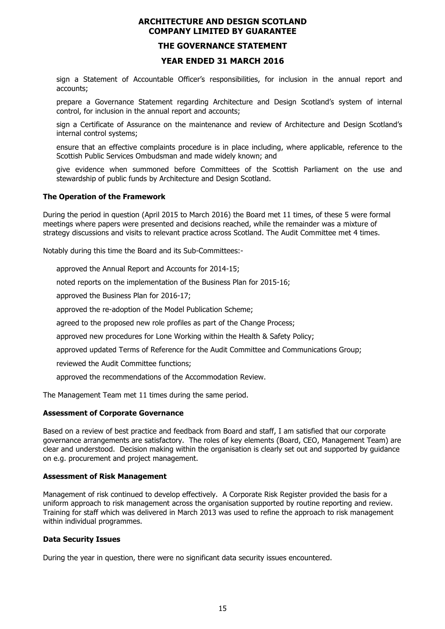## **THE GOVERNANCE STATEMENT**

## **YEAR ENDED 31 MARCH 2016**

 sign a Statement of Accountable Officer's responsibilities, for inclusion in the annual report and accounts;

 prepare a Governance Statement regarding Architecture and Design Scotland's system of internal control, for inclusion in the annual report and accounts;

 sign a Certificate of Assurance on the maintenance and review of Architecture and Design Scotland's internal control systems;

 ensure that an effective complaints procedure is in place including, where applicable, reference to the Scottish Public Services Ombudsman and made widely known; and

 give evidence when summoned before Committees of the Scottish Parliament on the use and stewardship of public funds by Architecture and Design Scotland.

## **The Operation of the Framework**

During the period in question (April 2015 to March 2016) the Board met 11 times, of these 5 were formal meetings where papers were presented and decisions reached, while the remainder was a mixture of strategy discussions and visits to relevant practice across Scotland. The Audit Committee met 4 times.

Notably during this time the Board and its Sub-Committees:-

approved the Annual Report and Accounts for 2014-15;

noted reports on the implementation of the Business Plan for 2015-16;

approved the Business Plan for 2016-17;

approved the re-adoption of the Model Publication Scheme;

agreed to the proposed new role profiles as part of the Change Process;

approved new procedures for Lone Working within the Health & Safety Policy;

approved updated Terms of Reference for the Audit Committee and Communications Group;

reviewed the Audit Committee functions;

approved the recommendations of the Accommodation Review.

The Management Team met 11 times during the same period.

## **Assessment of Corporate Governance**

Based on a review of best practice and feedback from Board and staff, I am satisfied that our corporate governance arrangements are satisfactory. The roles of key elements (Board, CEO, Management Team) are clear and understood. Decision making within the organisation is clearly set out and supported by guidance on e.g. procurement and project management.

## **Assessment of Risk Management**

Management of risk continued to develop effectively. A Corporate Risk Register provided the basis for a uniform approach to risk management across the organisation supported by routine reporting and review. Training for staff which was delivered in March 2013 was used to refine the approach to risk management within individual programmes.

## **Data Security Issues**

During the year in question, there were no significant data security issues encountered.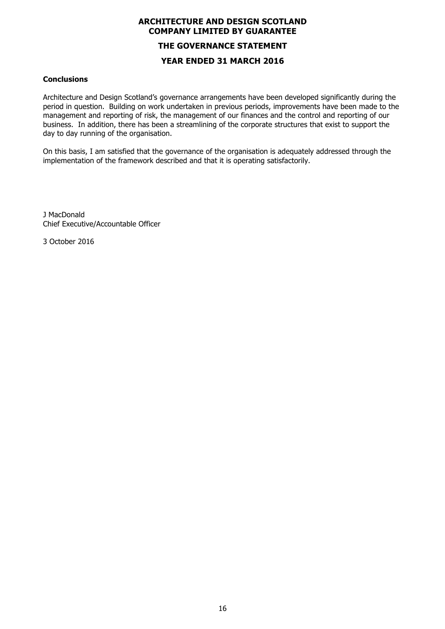# **ARCHITECTURE AND DESIGN SCOTLAND COMPANY LIMITED BY GUARANTEE THE GOVERNANCE STATEMENT YEAR ENDED 31 MARCH 2016**

## **Conclusions**

Architecture and Design Scotland's governance arrangements have been developed significantly during the period in question. Building on work undertaken in previous periods, improvements have been made to the management and reporting of risk, the management of our finances and the control and reporting of our business. In addition, there has been a streamlining of the corporate structures that exist to support the day to day running of the organisation.

On this basis, I am satisfied that the governance of the organisation is adequately addressed through the implementation of the framework described and that it is operating satisfactorily.

J MacDonald Chief Executive/Accountable Officer

3 October 2016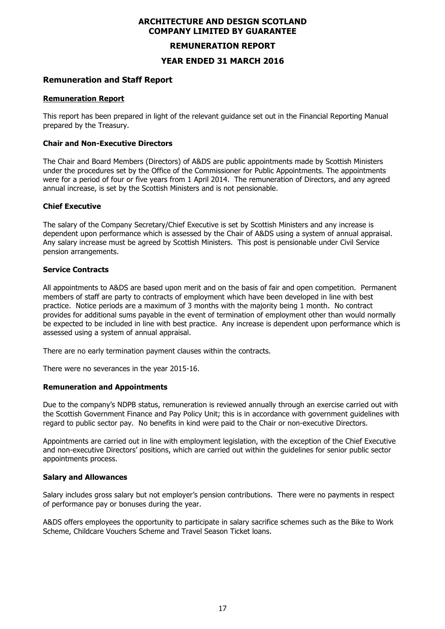## **REMUNERATION REPORT**

## **YEAR ENDED 31 MARCH 2016**

## **Remuneration and Staff Report**

#### **Remuneration Report**

This report has been prepared in light of the relevant guidance set out in the Financial Reporting Manual prepared by the Treasury.

## **Chair and Non-Executive Directors**

The Chair and Board Members (Directors) of A&DS are public appointments made by Scottish Ministers under the procedures set by the Office of the Commissioner for Public Appointments. The appointments were for a period of four or five years from 1 April 2014. The remuneration of Directors, and any agreed annual increase, is set by the Scottish Ministers and is not pensionable.

#### **Chief Executive**

The salary of the Company Secretary/Chief Executive is set by Scottish Ministers and any increase is dependent upon performance which is assessed by the Chair of A&DS using a system of annual appraisal. Any salary increase must be agreed by Scottish Ministers. This post is pensionable under Civil Service pension arrangements.

#### **Service Contracts**

All appointments to A&DS are based upon merit and on the basis of fair and open competition. Permanent members of staff are party to contracts of employment which have been developed in line with best practice. Notice periods are a maximum of 3 months with the majority being 1 month. No contract provides for additional sums payable in the event of termination of employment other than would normally be expected to be included in line with best practice. Any increase is dependent upon performance which is assessed using a system of annual appraisal.

There are no early termination payment clauses within the contracts.

There were no severances in the year 2015-16.

## **Remuneration and Appointments**

Due to the company's NDPB status, remuneration is reviewed annually through an exercise carried out with the Scottish Government Finance and Pay Policy Unit; this is in accordance with government guidelines with regard to public sector pay. No benefits in kind were paid to the Chair or non-executive Directors.

Appointments are carried out in line with employment legislation, with the exception of the Chief Executive and non-executive Directors' positions, which are carried out within the guidelines for senior public sector appointments process.

#### **Salary and Allowances**

Salary includes gross salary but not employer's pension contributions. There were no payments in respect of performance pay or bonuses during the year.

A&DS offers employees the opportunity to participate in salary sacrifice schemes such as the Bike to Work Scheme, Childcare Vouchers Scheme and Travel Season Ticket loans.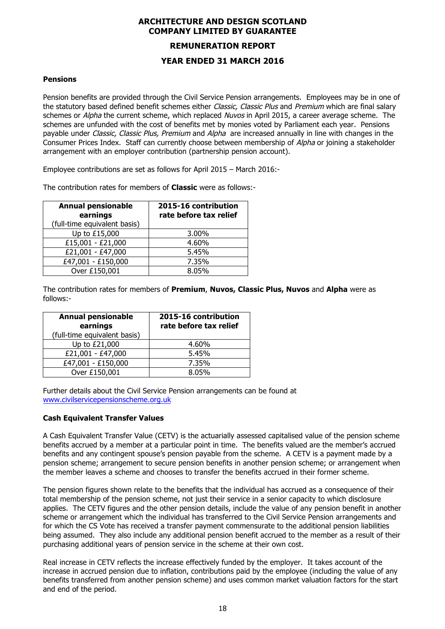# **REMUNERATION REPORT**

## **YEAR ENDED 31 MARCH 2016**

## **Pensions**

Pension benefits are provided through the Civil Service Pension arrangements. Employees may be in one of the statutory based defined benefit schemes either Classic, Classic Plus and Premium which are final salary schemes or Alpha the current scheme, which replaced Nuvos in April 2015, a career average scheme. The schemes are unfunded with the cost of benefits met by monies voted by Parliament each year. Pensions payable under Classic, Classic Plus, Premium and Alpha are increased annually in line with changes in the Consumer Prices Index. Staff can currently choose between membership of Alpha or joining a stakeholder arrangement with an employer contribution (partnership pension account).

Employee contributions are set as follows for April 2015 – March 2016:-

The contribution rates for members of **Classic** were as follows:-

| <b>Annual pensionable</b><br>earnings<br>(full-time equivalent basis) | 2015-16 contribution<br>rate before tax relief |
|-----------------------------------------------------------------------|------------------------------------------------|
| Up to £15,000                                                         | 3.00%                                          |
| £15,001 - £21,000                                                     | 4.60%                                          |
| £21,001 - £47,000                                                     | 5.45%                                          |
| £47,001 - £150,000                                                    | 7.35%                                          |
| Over £150,001                                                         | 8.05%                                          |

The contribution rates for members of **Premium**, **Nuvos, Classic Plus, Nuvos** and **Alpha** were as follows:-

| <b>Annual pensionable</b><br>earnings<br>(full-time equivalent basis) | 2015-16 contribution<br>rate before tax relief |
|-----------------------------------------------------------------------|------------------------------------------------|
| Up to £21,000                                                         | 4.60%                                          |
| £21,001 - £47,000                                                     | 5.45%                                          |
| £47,001 - £150,000                                                    | 7.35%                                          |
| Over £150,001                                                         | 8.05%                                          |

Further details about the Civil Service Pension arrangements can be found at www.civilservicepensionscheme.org.uk

## **Cash Equivalent Transfer Values**

A Cash Equivalent Transfer Value (CETV) is the actuarially assessed capitalised value of the pension scheme benefits accrued by a member at a particular point in time. The benefits valued are the member's accrued benefits and any contingent spouse's pension payable from the scheme. A CETV is a payment made by a pension scheme; arrangement to secure pension benefits in another pension scheme; or arrangement when the member leaves a scheme and chooses to transfer the benefits accrued in their former scheme.

The pension figures shown relate to the benefits that the individual has accrued as a consequence of their total membership of the pension scheme, not just their service in a senior capacity to which disclosure applies. The CETV figures and the other pension details, include the value of any pension benefit in another scheme or arrangement which the individual has transferred to the Civil Service Pension arrangements and for which the CS Vote has received a transfer payment commensurate to the additional pension liabilities being assumed. They also include any additional pension benefit accrued to the member as a result of their purchasing additional years of pension service in the scheme at their own cost.

Real increase in CETV reflects the increase effectively funded by the employer. It takes account of the increase in accrued pension due to inflation, contributions paid by the employee (including the value of any benefits transferred from another pension scheme) and uses common market valuation factors for the start and end of the period.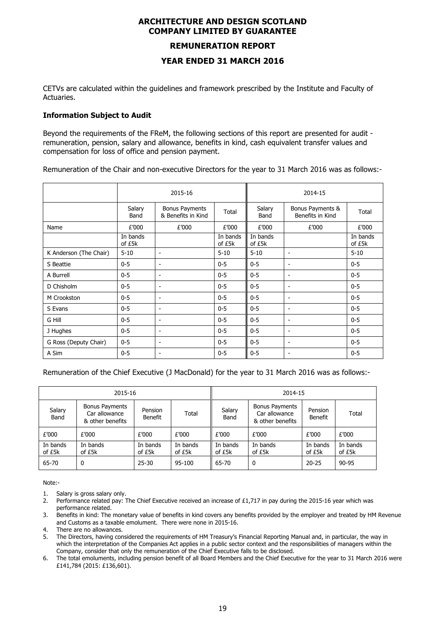## **REMUNERATION REPORT**

## **YEAR ENDED 31 MARCH 2016**

CETVs are calculated within the guidelines and framework prescribed by the Institute and Faculty of Actuaries.

## **Information Subject to Audit**

Beyond the requirements of the FReM, the following sections of this report are presented for audit remuneration, pension, salary and allowance, benefits in kind, cash equivalent transfer values and compensation for loss of office and pension payment.

Remuneration of the Chair and non-executive Directors for the year to 31 March 2016 was as follows:-

|                        |                    | 2015-16                                     |                    |                    | 2014-15                              |                    |
|------------------------|--------------------|---------------------------------------------|--------------------|--------------------|--------------------------------------|--------------------|
|                        | Salary<br>Band     | <b>Bonus Payments</b><br>& Benefits in Kind | Total              | Salary<br>Band     | Bonus Payments &<br>Benefits in Kind | Total              |
| Name                   | £'000              | £'000                                       | £'000              | £'000              | £'000                                | £'000              |
|                        | In bands<br>of £5k |                                             | In bands<br>of £5k | In bands<br>of £5k |                                      | In bands<br>of £5k |
| K Anderson (The Chair) | $5 - 10$           | ۰                                           | $5 - 10$           | $5 - 10$           | $\overline{\phantom{a}}$             | $5 - 10$           |
| S Beattie              | $0 - 5$            | $\overline{\phantom{a}}$                    | $0 - 5$            | $0 - 5$            | $\overline{\phantom{a}}$             | $0 - 5$            |
| A Burrell              | $0 - 5$            | $\overline{\phantom{a}}$                    | $0 - 5$            | $0 - 5$            | $\overline{\phantom{a}}$             | $0 - 5$            |
| D Chisholm             | $0 - 5$            | $\overline{\phantom{a}}$                    | $0 - 5$            | $0 - 5$            | $\overline{\phantom{a}}$             | $0 - 5$            |
| M Crookston            | $0 - 5$            | $\blacksquare$                              | $0 - 5$            | $0 - 5$            | $\overline{\phantom{a}}$             | $0 - 5$            |
| S Evans                | $0 - 5$            | ۰                                           | $0 - 5$            | $0 - 5$            | $\overline{\phantom{a}}$             | $0 - 5$            |
| G Hill                 | $0 - 5$            | ۰                                           | $0 - 5$            | $0 - 5$            | $\overline{\phantom{a}}$             | $0 - 5$            |
| J Hughes               | $0 - 5$            | ۰                                           | $0 - 5$            | $0 - 5$            | $\overline{\phantom{a}}$             | $0 - 5$            |
| G Ross (Deputy Chair)  | $0 - 5$            | ۰                                           | $0 - 5$            | $0 - 5$            | $\blacksquare$                       | $0 - 5$            |
| A Sim                  | $0 - 5$            | $\overline{\phantom{a}}$                    | $0 - 5$            | $0 - 5$            | $\overline{\phantom{a}}$             | $0 - 5$            |

## Remuneration of the Chief Executive (J MacDonald) for the year to 31 March 2016 was as follows:-

| 2015-16            |                                                            |                           |                    | 2014-15            |                                                            |                    |                    |
|--------------------|------------------------------------------------------------|---------------------------|--------------------|--------------------|------------------------------------------------------------|--------------------|--------------------|
| Salary<br>Band     | <b>Bonus Payments</b><br>Car allowance<br>& other benefits | Pension<br><b>Benefit</b> | Total              | Salary<br>Band     | <b>Bonus Payments</b><br>Car allowance<br>& other benefits | Pension<br>Benefit | Total              |
| £'000              | £'000                                                      | £'000                     | £'000              | £'000              | £'000                                                      | £'000              | £'000              |
| In bands<br>of £5k | In bands<br>of £5k                                         | In bands<br>of £5k        | In bands<br>of £5k | In bands<br>of £5k | In bands<br>of £5k                                         | In bands<br>of £5k | In bands<br>of £5k |
| 65-70              | $\mathbf{0}$                                               | $25 - 30$                 | 95-100             | 65-70              | 0                                                          | $20 - 25$          | $90 - 95$          |

Note:-

- 1. Salary is gross salary only.
- 2. Performance related pay: The Chief Executive received an increase of £1,717 in pay during the 2015-16 year which was performance related.
- 3. Benefits in kind: The monetary value of benefits in kind covers any benefits provided by the employer and treated by HM Revenue and Customs as a taxable emolument. There were none in 2015-16.
- 4. There are no allowances.
- 5. The Directors, having considered the requirements of HM Treasury's Financial Reporting Manual and, in particular, the way in which the interpretation of the Companies Act applies in a public sector context and the responsibilities of managers within the Company, consider that only the remuneration of the Chief Executive falls to be disclosed.
- 6. The total emoluments, including pension benefit of all Board Members and the Chief Executive for the year to 31 March 2016 were £141,784 (2015: £136,601).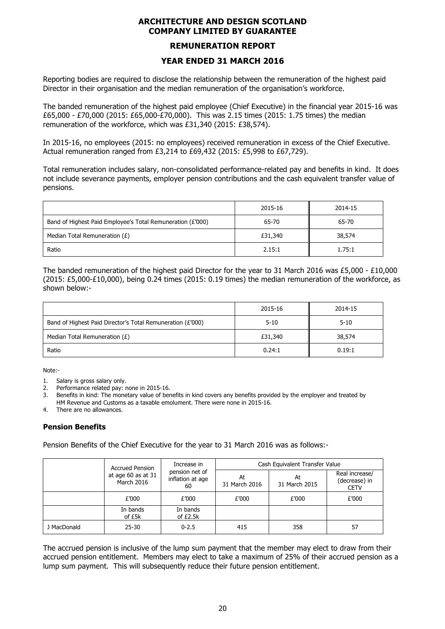## **REMUNERATION REPORT**

# **YEAR ENDED 31 MARCH 2016**

Reporting bodies are required to disclose the relationship between the remuneration of the highest paid Director in their organisation and the median remuneration of the organisation's workforce.

The banded remuneration of the highest paid employee (Chief Executive) in the financial year 2015-16 was £65,000 - £70,000 (2015: £65,000-£70,000). This was 2.15 times (2015: 1.75 times) the median remuneration of the workforce, which was £31,340 (2015: £38,574).

In 2015-16, no employees (2015: no employees) received remuneration in excess of the Chief Executive. Actual remuneration ranged from £3,214 to £69,432 (2015: £5,998 to £67,729).

Total remuneration includes salary, non-consolidated performance-related pay and benefits in kind. It does not include severance payments, employer pension contributions and the cash equivalent transfer value of pensions.

|                                                            | 2015-16 | 2014-15 |
|------------------------------------------------------------|---------|---------|
| Band of Highest Paid Employee's Total Remuneration (£'000) | 65-70   | 65-70   |
| Median Total Remuneration $(E)$                            | £31,340 | 38,574  |
| Ratio                                                      | 2.15:1  | 1.75:1  |

The banded remuneration of the highest paid Director for the year to 31 March 2016 was £5,000 - £10,000 (2015: £5,000-£10,000), being 0.24 times (2015: 0.19 times) the median remuneration of the workforce, as shown below:-

|                                                            | 2015-16  | 2014-15  |
|------------------------------------------------------------|----------|----------|
| Band of Highest Paid Director's Total Remuneration (£'000) | $5 - 10$ | $5 - 10$ |
| Median Total Remuneration $(E)$                            | £31,340  | 38,574   |
| Ratio                                                      | 0.24:1   | 0.19:1   |

Note:-

- 1. Salary is gross salary only.
- 2. Performance related pay: none in 2015-16.
- 3. Benefits in kind: The monetary value of benefits in kind covers any benefits provided by the employer and treated by HM Revenue and Customs as a taxable emolument. There were none in 2015-16.
- 4. There are no allowances.

## **Pension Benefits**

Pension Benefits of the Chief Executive for the year to 31 March 2016 was as follows:-

|             | <b>Accrued Pension</b>                  | Increase in                              |                     | Cash Equivalent Transfer Value |                                                |  |
|-------------|-----------------------------------------|------------------------------------------|---------------------|--------------------------------|------------------------------------------------|--|
|             | at age 60 as at 31<br><b>March 2016</b> | pension net of<br>inflation at age<br>60 | At<br>31 March 2016 | At<br>31 March 2015            | Real increase/<br>(decrease) in<br><b>CETV</b> |  |
|             | £'000                                   | £'000                                    | £'000               | £'000                          | £'000                                          |  |
|             | In bands<br>of £5k                      | In bands<br>of $£2.5k$                   |                     |                                |                                                |  |
| J MacDonald | $25 - 30$                               | $0 - 2.5$                                | 415                 | 358                            | 57                                             |  |

The accrued pension is inclusive of the lump sum payment that the member may elect to draw from their accrued pension entitlement. Members may elect to take a maximum of 25% of their accrued pension as a lump sum payment. This will subsequently reduce their future pension entitlement.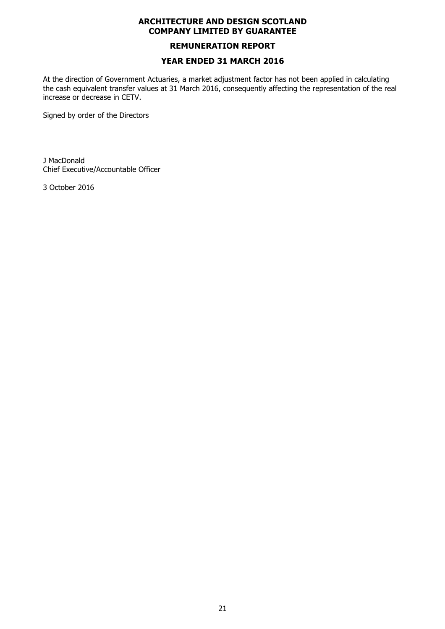# **REMUNERATION REPORT**

## **YEAR ENDED 31 MARCH 2016**

At the direction of Government Actuaries, a market adjustment factor has not been applied in calculating the cash equivalent transfer values at 31 March 2016, consequently affecting the representation of the real increase or decrease in CETV.

Signed by order of the Directors

J MacDonald Chief Executive/Accountable Officer

3 October 2016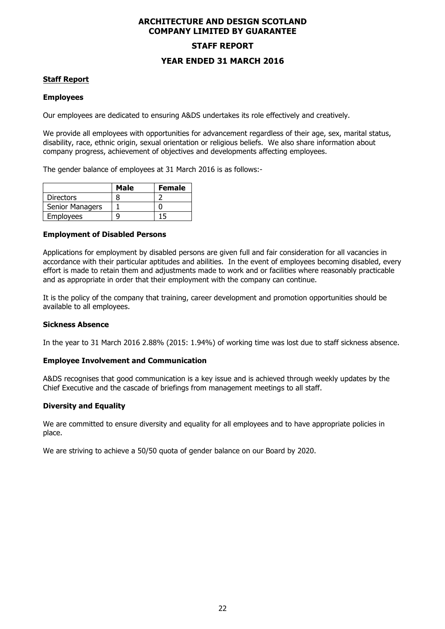## **STAFF REPORT**

## **YEAR ENDED 31 MARCH 2016**

#### **Staff Report**

#### **Employees**

Our employees are dedicated to ensuring A&DS undertakes its role effectively and creatively.

We provide all employees with opportunities for advancement regardless of their age, sex, marital status, disability, race, ethnic origin, sexual orientation or religious beliefs. We also share information about company progress, achievement of objectives and developments affecting employees.

The gender balance of employees at 31 March 2016 is as follows:-

|                  | Male | <b>Female</b> |
|------------------|------|---------------|
| <b>Directors</b> |      |               |
| Senior Managers  |      |               |
| Employees        |      | 15            |

#### **Employment of Disabled Persons**

Applications for employment by disabled persons are given full and fair consideration for all vacancies in accordance with their particular aptitudes and abilities. In the event of employees becoming disabled, every effort is made to retain them and adjustments made to work and or facilities where reasonably practicable and as appropriate in order that their employment with the company can continue.

It is the policy of the company that training, career development and promotion opportunities should be available to all employees.

#### **Sickness Absence**

In the year to 31 March 2016 2.88% (2015: 1.94%) of working time was lost due to staff sickness absence.

## **Employee Involvement and Communication**

A&DS recognises that good communication is a key issue and is achieved through weekly updates by the Chief Executive and the cascade of briefings from management meetings to all staff.

## **Diversity and Equality**

We are committed to ensure diversity and equality for all employees and to have appropriate policies in place.

We are striving to achieve a 50/50 quota of gender balance on our Board by 2020.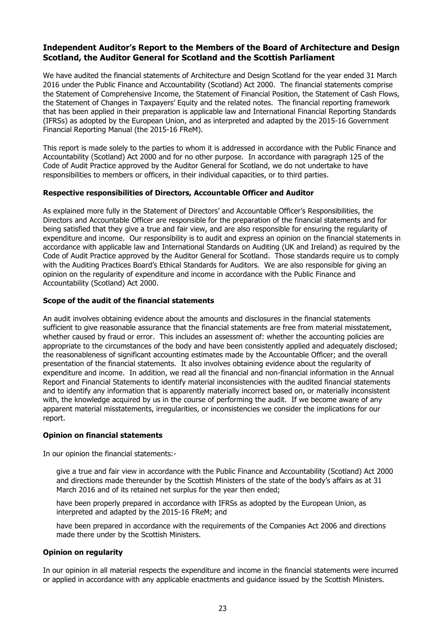# **Independent Auditor's Report to the Members of the Board of Architecture and Design Scotland, the Auditor General for Scotland and the Scottish Parliament**

We have audited the financial statements of Architecture and Design Scotland for the year ended 31 March 2016 under the Public Finance and Accountability (Scotland) Act 2000. The financial statements comprise the Statement of Comprehensive Income, the Statement of Financial Position, the Statement of Cash Flows, the Statement of Changes in Taxpayers' Equity and the related notes. The financial reporting framework that has been applied in their preparation is applicable law and International Financial Reporting Standards (IFRSs) as adopted by the European Union, and as interpreted and adapted by the 2015-16 Government Financial Reporting Manual (the 2015-16 FReM).

This report is made solely to the parties to whom it is addressed in accordance with the Public Finance and Accountability (Scotland) Act 2000 and for no other purpose. In accordance with paragraph 125 of the Code of Audit Practice approved by the Auditor General for Scotland, we do not undertake to have responsibilities to members or officers, in their individual capacities, or to third parties.

## **Respective responsibilities of Directors, Accountable Officer and Auditor**

As explained more fully in the Statement of Directors' and Accountable Officer's Responsibilities, the Directors and Accountable Officer are responsible for the preparation of the financial statements and for being satisfied that they give a true and fair view, and are also responsible for ensuring the regularity of expenditure and income. Our responsibility is to audit and express an opinion on the financial statements in accordance with applicable law and International Standards on Auditing (UK and Ireland) as required by the Code of Audit Practice approved by the Auditor General for Scotland. Those standards require us to comply with the Auditing Practices Board's Ethical Standards for Auditors. We are also responsible for giving an opinion on the regularity of expenditure and income in accordance with the Public Finance and Accountability (Scotland) Act 2000.

#### **Scope of the audit of the financial statements**

An audit involves obtaining evidence about the amounts and disclosures in the financial statements sufficient to give reasonable assurance that the financial statements are free from material misstatement, whether caused by fraud or error. This includes an assessment of: whether the accounting policies are appropriate to the circumstances of the body and have been consistently applied and adequately disclosed; the reasonableness of significant accounting estimates made by the Accountable Officer; and the overall presentation of the financial statements. It also involves obtaining evidence about the regularity of expenditure and income. In addition, we read all the financial and non-financial information in the Annual Report and Financial Statements to identify material inconsistencies with the audited financial statements and to identify any information that is apparently materially incorrect based on, or materially inconsistent with, the knowledge acquired by us in the course of performing the audit. If we become aware of any apparent material misstatements, irregularities, or inconsistencies we consider the implications for our report.

## **Opinion on financial statements**

In our opinion the financial statements:-

 give a true and fair view in accordance with the Public Finance and Accountability (Scotland) Act 2000 and directions made thereunder by the Scottish Ministers of the state of the body's affairs as at 31 March 2016 and of its retained net surplus for the year then ended;

 have been properly prepared in accordance with IFRSs as adopted by the European Union, as interpreted and adapted by the 2015-16 FReM; and

 have been prepared in accordance with the requirements of the Companies Act 2006 and directions made there under by the Scottish Ministers.

## **Opinion on regularity**

In our opinion in all material respects the expenditure and income in the financial statements were incurred or applied in accordance with any applicable enactments and guidance issued by the Scottish Ministers.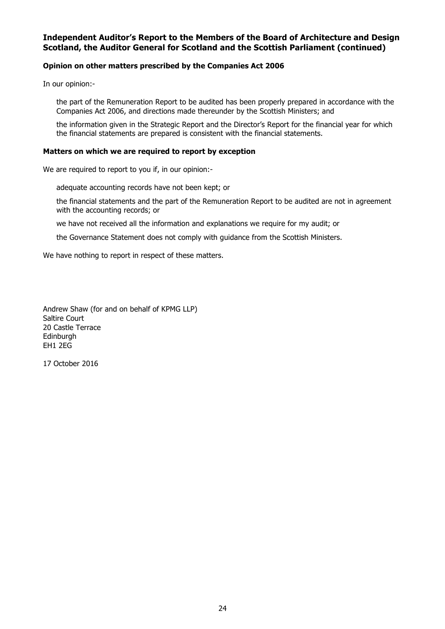# **Independent Auditor's Report to the Members of the Board of Architecture and Design Scotland, the Auditor General for Scotland and the Scottish Parliament (continued)**

## **Opinion on other matters prescribed by the Companies Act 2006**

In our opinion:-

 the part of the Remuneration Report to be audited has been properly prepared in accordance with the Companies Act 2006, and directions made thereunder by the Scottish Ministers; and

 the information given in the Strategic Report and the Director's Report for the financial year for which the financial statements are prepared is consistent with the financial statements.

#### **Matters on which we are required to report by exception**

We are required to report to you if, in our opinion:-

adequate accounting records have not been kept; or

 the financial statements and the part of the Remuneration Report to be audited are not in agreement with the accounting records; or

we have not received all the information and explanations we require for my audit; or

the Governance Statement does not comply with guidance from the Scottish Ministers.

We have nothing to report in respect of these matters.

Andrew Shaw (for and on behalf of KPMG LLP) Saltire Court 20 Castle Terrace Edinburgh EH1 2EG

17 October 2016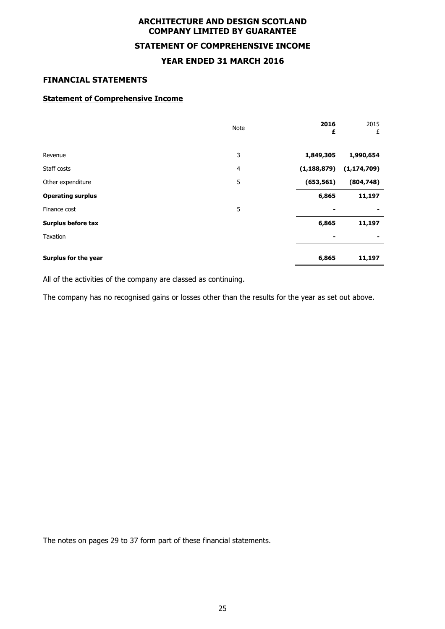# **ARCHITECTURE AND DESIGN SCOTLAND COMPANY LIMITED BY GUARANTEE STATEMENT OF COMPREHENSIVE INCOME YEAR ENDED 31 MARCH 2016**

# **FINANCIAL STATEMENTS**

#### **Statement of Comprehensive Income**

|                          | Note | 2016<br>£     | 2015<br>£     |
|--------------------------|------|---------------|---------------|
| Revenue                  | 3    | 1,849,305     | 1,990,654     |
| Staff costs              | 4    | (1, 188, 879) | (1, 174, 709) |
| Other expenditure        | 5    | (653, 561)    | (804, 748)    |
| <b>Operating surplus</b> |      | 6,865         | 11,197        |
| Finance cost             | 5    |               |               |
| Surplus before tax       |      | 6,865         | 11,197        |
| Taxation                 |      | -             |               |
| Surplus for the year     |      | 6,865         | 11,197        |

All of the activities of the company are classed as continuing.

The company has no recognised gains or losses other than the results for the year as set out above.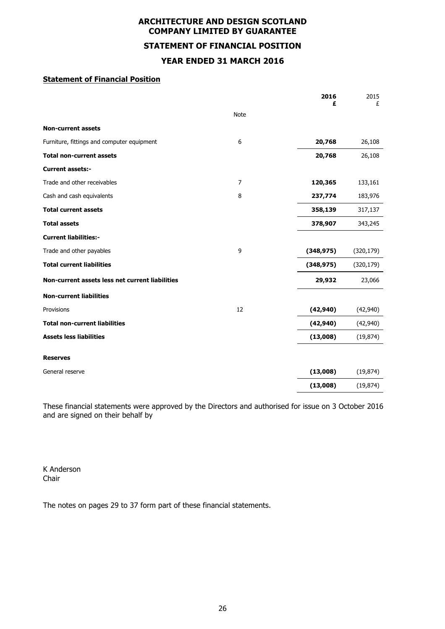# **ARCHITECTURE AND DESIGN SCOTLAND COMPANY LIMITED BY GUARANTEE STATEMENT OF FINANCIAL POSITION YEAR ENDED 31 MARCH 2016**

## **Statement of Financial Position**

|                                                 |      | 2016<br>£  | 2015<br>£  |
|-------------------------------------------------|------|------------|------------|
|                                                 | Note |            |            |
| <b>Non-current assets</b>                       |      |            |            |
| Furniture, fittings and computer equipment      | 6    | 20,768     | 26,108     |
| <b>Total non-current assets</b>                 |      | 20,768     | 26,108     |
| <b>Current assets:-</b>                         |      |            |            |
| Trade and other receivables                     | 7    | 120,365    | 133,161    |
| Cash and cash equivalents                       | 8    | 237,774    | 183,976    |
| <b>Total current assets</b>                     |      | 358,139    | 317,137    |
| <b>Total assets</b>                             |      | 378,907    | 343,245    |
| <b>Current liabilities:-</b>                    |      |            |            |
| Trade and other payables                        | 9    | (348, 975) | (320, 179) |
| <b>Total current liabilities</b>                |      | (348, 975) | (320, 179) |
| Non-current assets less net current liabilities |      | 29,932     | 23,066     |
| <b>Non-current liabilities</b>                  |      |            |            |
| Provisions                                      | 12   | (42, 940)  | (42, 940)  |
| <b>Total non-current liabilities</b>            |      | (42, 940)  | (42,940)   |
| <b>Assets less liabilities</b>                  |      | (13,008)   | (19, 874)  |
| <b>Reserves</b>                                 |      |            |            |
| General reserve                                 |      | (13,008)   | (19, 874)  |
|                                                 |      | (13,008)   | (19, 874)  |

These financial statements were approved by the Directors and authorised for issue on 3 October 2016 and are signed on their behalf by

K Anderson Chair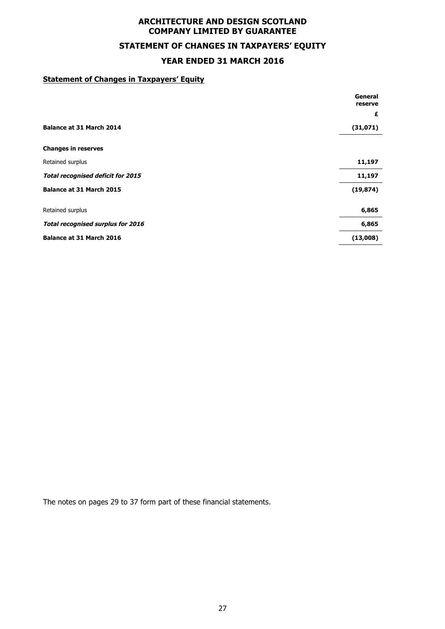# **ARCHITECTURE AND DESIGN SCOTLAND COMPANY LIMITED BY GUARANTEE STATEMENT OF CHANGES IN TAXPAYERS' EQUITY**

# **YEAR ENDED 31 MARCH 2016**

# **Statement of Changes in Taxpayers' Equity**

|                                          | General<br>reserve |
|------------------------------------------|--------------------|
|                                          | £                  |
| Balance at 31 March 2014                 | (31,071)           |
| <b>Changes in reserves</b>               |                    |
| Retained surplus                         | 11,197             |
| <b>Total recognised deficit for 2015</b> | 11,197             |
| <b>Balance at 31 March 2015</b>          | (19, 874)          |
| Retained surplus                         | 6,865              |
| <b>Total recognised surplus for 2016</b> | 6,865              |
| Balance at 31 March 2016                 | (13,008)           |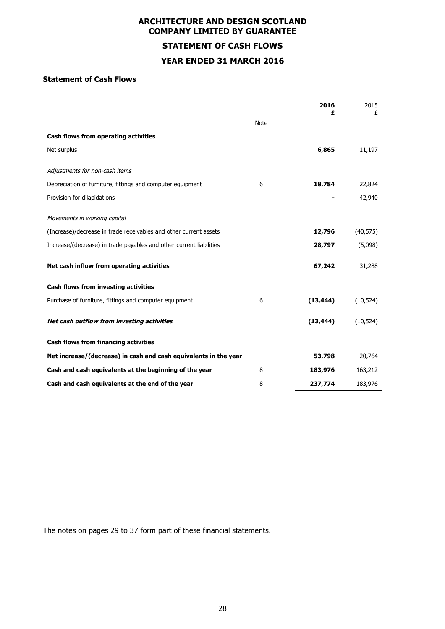# **ARCHITECTURE AND DESIGN SCOTLAND COMPANY LIMITED BY GUARANTEE STATEMENT OF CASH FLOWS YEAR ENDED 31 MARCH 2016**

## **Statement of Cash Flows**

|                                                                     |             | 2016      | 2015<br>£ |
|---------------------------------------------------------------------|-------------|-----------|-----------|
|                                                                     | <b>Note</b> |           |           |
| Cash flows from operating activities                                |             |           |           |
| Net surplus                                                         |             | 6,865     | 11,197    |
| Adjustments for non-cash items                                      |             |           |           |
| Depreciation of furniture, fittings and computer equipment          | 6           | 18,784    | 22,824    |
| Provision for dilapidations                                         |             |           | 42,940    |
| Movements in working capital                                        |             |           |           |
| (Increase)/decrease in trade receivables and other current assets   |             | 12,796    | (40, 575) |
| Increase/(decrease) in trade payables and other current liabilities |             | 28,797    | (5,098)   |
| Net cash inflow from operating activities                           |             | 67,242    | 31,288    |
| Cash flows from investing activities                                |             |           |           |
| Purchase of furniture, fittings and computer equipment              | 6           | (13, 444) | (10, 524) |
| Net cash outflow from investing activities                          |             | (13, 444) | (10, 524) |
| <b>Cash flows from financing activities</b>                         |             |           |           |
| Net increase/(decrease) in cash and cash equivalents in the year    |             | 53,798    | 20,764    |
| Cash and cash equivalents at the beginning of the year              | 8           | 183,976   | 163,212   |
| Cash and cash equivalents at the end of the year                    | 8           | 237,774   | 183,976   |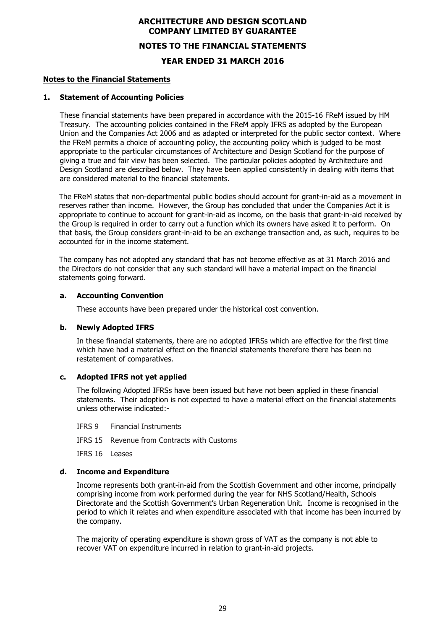# **ARCHITECTURE AND DESIGN SCOTLAND COMPANY LIMITED BY GUARANTEE NOTES TO THE FINANCIAL STATEMENTS YEAR ENDED 31 MARCH 2016**

#### **Notes to the Financial Statements**

## **1. Statement of Accounting Policies**

These financial statements have been prepared in accordance with the 2015-16 FReM issued by HM Treasury. The accounting policies contained in the FReM apply IFRS as adopted by the European Union and the Companies Act 2006 and as adapted or interpreted for the public sector context. Where the FReM permits a choice of accounting policy, the accounting policy which is judged to be most appropriate to the particular circumstances of Architecture and Design Scotland for the purpose of giving a true and fair view has been selected. The particular policies adopted by Architecture and Design Scotland are described below. They have been applied consistently in dealing with items that are considered material to the financial statements.

The FReM states that non-departmental public bodies should account for grant-in-aid as a movement in reserves rather than income. However, the Group has concluded that under the Companies Act it is appropriate to continue to account for grant-in-aid as income, on the basis that grant-in-aid received by the Group is required in order to carry out a function which its owners have asked it to perform. On that basis, the Group considers grant-in-aid to be an exchange transaction and, as such, requires to be accounted for in the income statement.

The company has not adopted any standard that has not become effective as at 31 March 2016 and the Directors do not consider that any such standard will have a material impact on the financial statements going forward.

#### **a. Accounting Convention**

These accounts have been prepared under the historical cost convention.

#### **b. Newly Adopted IFRS**

In these financial statements, there are no adopted IFRSs which are effective for the first time which have had a material effect on the financial statements therefore there has been no restatement of comparatives.

## **c. Adopted IFRS not yet applied**

The following Adopted IFRSs have been issued but have not been applied in these financial statements. Their adoption is not expected to have a material effect on the financial statements unless otherwise indicated:-

IFRS 9 Financial Instruments

IFRS 15 Revenue from Contracts with Customs

IFRS 16 Leases

#### **d. Income and Expenditure**

Income represents both grant-in-aid from the Scottish Government and other income, principally comprising income from work performed during the year for NHS Scotland/Health, Schools Directorate and the Scottish Government's Urban Regeneration Unit. Income is recognised in the period to which it relates and when expenditure associated with that income has been incurred by the company.

The majority of operating expenditure is shown gross of VAT as the company is not able to recover VAT on expenditure incurred in relation to grant-in-aid projects.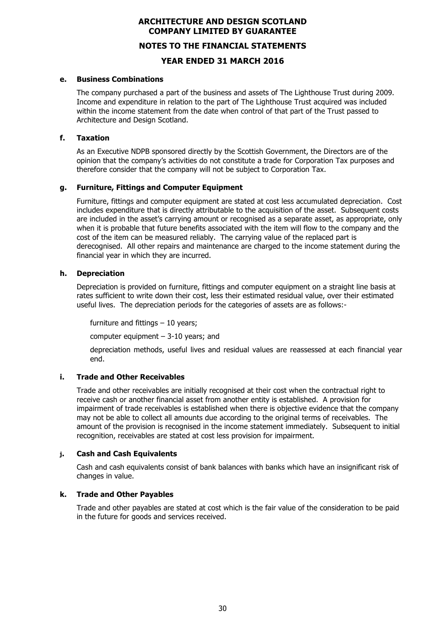## **NOTES TO THE FINANCIAL STATEMENTS**

# **YEAR ENDED 31 MARCH 2016**

#### **e. Business Combinations**

The company purchased a part of the business and assets of The Lighthouse Trust during 2009. Income and expenditure in relation to the part of The Lighthouse Trust acquired was included within the income statement from the date when control of that part of the Trust passed to Architecture and Design Scotland.

## **f. Taxation**

As an Executive NDPB sponsored directly by the Scottish Government, the Directors are of the opinion that the company's activities do not constitute a trade for Corporation Tax purposes and therefore consider that the company will not be subject to Corporation Tax.

## **g. Furniture, Fittings and Computer Equipment**

Furniture, fittings and computer equipment are stated at cost less accumulated depreciation. Cost includes expenditure that is directly attributable to the acquisition of the asset. Subsequent costs are included in the asset's carrying amount or recognised as a separate asset, as appropriate, only when it is probable that future benefits associated with the item will flow to the company and the cost of the item can be measured reliably. The carrying value of the replaced part is derecognised. All other repairs and maintenance are charged to the income statement during the financial year in which they are incurred.

## **h. Depreciation**

Depreciation is provided on furniture, fittings and computer equipment on a straight line basis at rates sufficient to write down their cost, less their estimated residual value, over their estimated useful lives. The depreciation periods for the categories of assets are as follows:-

furniture and fittings – 10 years;

computer equipment  $-3-10$  years; and

 depreciation methods, useful lives and residual values are reassessed at each financial year end.

## **i. Trade and Other Receivables**

Trade and other receivables are initially recognised at their cost when the contractual right to receive cash or another financial asset from another entity is established. A provision for impairment of trade receivables is established when there is objective evidence that the company may not be able to collect all amounts due according to the original terms of receivables. The amount of the provision is recognised in the income statement immediately. Subsequent to initial recognition, receivables are stated at cost less provision for impairment.

## **j. Cash and Cash Equivalents**

Cash and cash equivalents consist of bank balances with banks which have an insignificant risk of changes in value.

# **k. Trade and Other Payables**

Trade and other payables are stated at cost which is the fair value of the consideration to be paid in the future for goods and services received.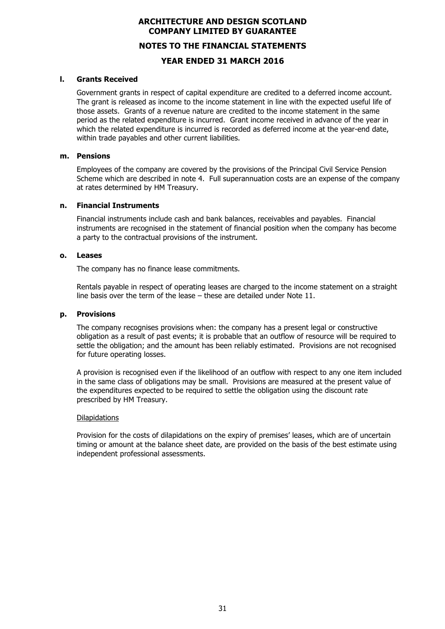## **NOTES TO THE FINANCIAL STATEMENTS**

## **YEAR ENDED 31 MARCH 2016**

## **l. Grants Received**

Government grants in respect of capital expenditure are credited to a deferred income account. The grant is released as income to the income statement in line with the expected useful life of those assets. Grants of a revenue nature are credited to the income statement in the same period as the related expenditure is incurred. Grant income received in advance of the year in which the related expenditure is incurred is recorded as deferred income at the year-end date, within trade payables and other current liabilities.

#### **m. Pensions**

Employees of the company are covered by the provisions of the Principal Civil Service Pension Scheme which are described in note 4. Full superannuation costs are an expense of the company at rates determined by HM Treasury.

#### **n. Financial Instruments**

Financial instruments include cash and bank balances, receivables and payables. Financial instruments are recognised in the statement of financial position when the company has become a party to the contractual provisions of the instrument.

#### **o. Leases**

The company has no finance lease commitments.

Rentals payable in respect of operating leases are charged to the income statement on a straight line basis over the term of the lease – these are detailed under Note 11.

#### **p. Provisions**

The company recognises provisions when: the company has a present legal or constructive obligation as a result of past events; it is probable that an outflow of resource will be required to settle the obligation; and the amount has been reliably estimated. Provisions are not recognised for future operating losses.

A provision is recognised even if the likelihood of an outflow with respect to any one item included in the same class of obligations may be small. Provisions are measured at the present value of the expenditures expected to be required to settle the obligation using the discount rate prescribed by HM Treasury.

## Dilapidations

Provision for the costs of dilapidations on the expiry of premises' leases, which are of uncertain timing or amount at the balance sheet date, are provided on the basis of the best estimate using independent professional assessments.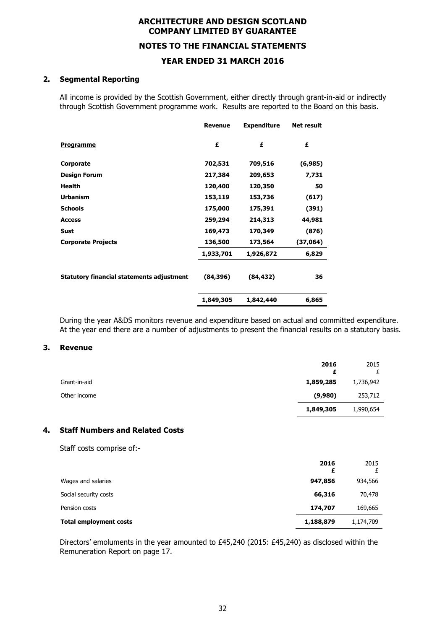# **ARCHITECTURE AND DESIGN SCOTLAND COMPANY LIMITED BY GUARANTEE NOTES TO THE FINANCIAL STATEMENTS YEAR ENDED 31 MARCH 2016**

## **2. Segmental Reporting**

All income is provided by the Scottish Government, either directly through grant-in-aid or indirectly through Scottish Government programme work. Results are reported to the Board on this basis.

|                                                  | <b>Revenue</b> | <b>Expenditure</b> | <b>Net result</b> |
|--------------------------------------------------|----------------|--------------------|-------------------|
| <b>Programme</b>                                 | £              | £                  | £                 |
| Corporate                                        | 702,531        | 709,516            | (6,985)           |
| <b>Design Forum</b>                              | 217,384        | 209,653            | 7,731             |
| Health                                           | 120,400        | 120,350            | 50                |
| <b>Urbanism</b>                                  | 153,119        | 153,736            | (617)             |
| <b>Schools</b>                                   | 175,000        | 175,391            | (391)             |
| <b>Access</b>                                    | 259,294        | 214,313            | 44,981            |
| Sust                                             | 169,473        | 170,349            | (876)             |
| <b>Corporate Projects</b>                        | 136,500        | 173,564            | (37,064)          |
|                                                  | 1,933,701      | 1,926,872          | 6,829             |
| <b>Statutory financial statements adjustment</b> | (84, 396)      | (84, 432)          | 36                |
|                                                  | 1,849,305      | 1,842,440          | 6,865             |

During the year A&DS monitors revenue and expenditure based on actual and committed expenditure. At the year end there are a number of adjustments to present the financial results on a statutory basis.

## **3. Revenue**

|              | 2016      | 2015      |
|--------------|-----------|-----------|
| Grant-in-aid | 1,859,285 | 1,736,942 |
| Other income | (9,980)   | 253,712   |
|              | 1,849,305 | 1,990,654 |

## **4. Staff Numbers and Related Costs**

Staff costs comprise of:-

|                               | 2016<br>£ | 2015      |
|-------------------------------|-----------|-----------|
| Wages and salaries            | 947,856   | 934,566   |
| Social security costs         | 66,316    | 70,478    |
| Pension costs                 | 174,707   | 169,665   |
| <b>Total employment costs</b> | 1,188,879 | 1,174,709 |

Directors' emoluments in the year amounted to £45,240 (2015: £45,240) as disclosed within the Remuneration Report on page 17.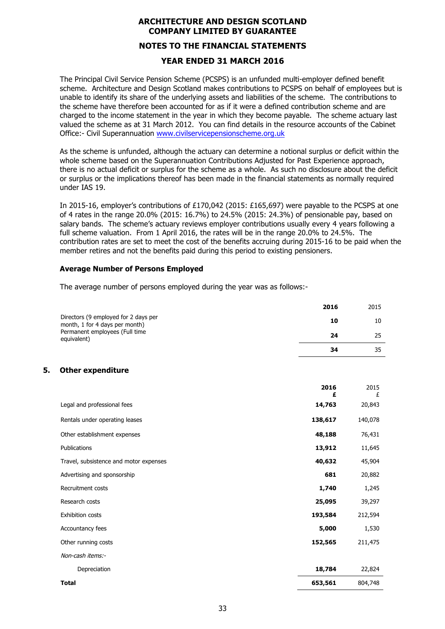## **NOTES TO THE FINANCIAL STATEMENTS**

## **YEAR ENDED 31 MARCH 2016**

The Principal Civil Service Pension Scheme (PCSPS) is an unfunded multi-employer defined benefit scheme. Architecture and Design Scotland makes contributions to PCSPS on behalf of employees but is unable to identify its share of the underlying assets and liabilities of the scheme. The contributions to the scheme have therefore been accounted for as if it were a defined contribution scheme and are charged to the income statement in the year in which they become payable. The scheme actuary last valued the scheme as at 31 March 2012. You can find details in the resource accounts of the Cabinet Office:- Civil Superannuation www.civilservicepensionscheme.org.uk

As the scheme is unfunded, although the actuary can determine a notional surplus or deficit within the whole scheme based on the Superannuation Contributions Adjusted for Past Experience approach, there is no actual deficit or surplus for the scheme as a whole. As such no disclosure about the deficit or surplus or the implications thereof has been made in the financial statements as normally required under IAS 19.

In 2015-16, employer's contributions of £170,042 (2015: £165,697) were payable to the PCSPS at one of 4 rates in the range 20.0% (2015: 16.7%) to 24.5% (2015: 24.3%) of pensionable pay, based on salary bands. The scheme's actuary reviews employer contributions usually every 4 years following a full scheme valuation. From 1 April 2016, the rates will be in the range 20.0% to 24.5%. The contribution rates are set to meet the cost of the benefits accruing during 2015-16 to be paid when the member retires and not the benefits paid during this period to existing pensioners.

## **Average Number of Persons Employed**

The average number of persons employed during the year was as follows:-

|                                                                        | 2016 | 2015 |
|------------------------------------------------------------------------|------|------|
| Directors (9 employed for 2 days per<br>month, 1 for 4 days per month) | 10   | 10   |
| Permanent employees (Full time<br>equivalent)                          | 24   | 25   |
|                                                                        | 34   | 35   |

## **5. Other expenditure**

|                                        | 2016    | 2015<br>£ |
|----------------------------------------|---------|-----------|
| Legal and professional fees            | 14,763  | 20,843    |
| Rentals under operating leases         | 138,617 | 140,078   |
| Other establishment expenses           | 48,188  | 76,431    |
| Publications                           | 13,912  | 11,645    |
| Travel, subsistence and motor expenses | 40,632  | 45,904    |
| Advertising and sponsorship            | 681     | 20,882    |
| Recruitment costs                      | 1,740   | 1,245     |
| Research costs                         | 25,095  | 39,297    |
| Exhibition costs                       | 193,584 | 212,594   |
| Accountancy fees                       | 5,000   | 1,530     |
| Other running costs                    | 152,565 | 211,475   |
| Non-cash items:-                       |         |           |
| Depreciation                           | 18,784  | 22,824    |
| Total                                  | 653,561 | 804,748   |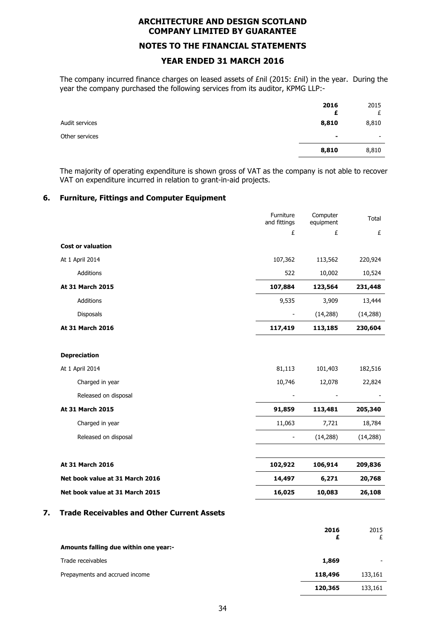# **NOTES TO THE FINANCIAL STATEMENTS**

# **YEAR ENDED 31 MARCH 2016**

The company incurred finance charges on leased assets of £nil (2015: £nil) in the year. During the year the company purchased the following services from its auditor, KPMG LLP:-

|                | 2016<br>£      | 2015<br>Ł                |
|----------------|----------------|--------------------------|
| Audit services | 8,810          | 8,810                    |
| Other services | $\blacksquare$ | $\overline{\phantom{a}}$ |
|                | 8,810          | 8,810                    |

The majority of operating expenditure is shown gross of VAT as the company is not able to recover VAT on expenditure incurred in relation to grant-in-aid projects.

## **6. Furniture, Fittings and Computer Equipment**

|                                                   | Furniture<br>and fittings | Computer<br>equipment | Total     |
|---------------------------------------------------|---------------------------|-----------------------|-----------|
|                                                   | £                         | £                     | £         |
| <b>Cost or valuation</b>                          |                           |                       |           |
| At 1 April 2014                                   | 107,362                   | 113,562               | 220,924   |
| <b>Additions</b>                                  | 522                       | 10,002                | 10,524    |
| At 31 March 2015                                  | 107,884                   | 123,564               | 231,448   |
| Additions                                         | 9,535                     | 3,909                 | 13,444    |
| Disposals                                         |                           | (14, 288)             | (14, 288) |
| At 31 March 2016                                  | 117,419                   | 113,185               | 230,604   |
| <b>Depreciation</b>                               |                           |                       |           |
| At 1 April 2014                                   | 81,113                    | 101,403               | 182,516   |
| Charged in year                                   | 10,746                    | 12,078                | 22,824    |
| Released on disposal                              |                           |                       |           |
| At 31 March 2015                                  | 91,859                    | 113,481               | 205,340   |
| Charged in year                                   | 11,063                    | 7,721                 | 18,784    |
| Released on disposal                              |                           | (14, 288)             | (14, 288) |
| At 31 March 2016                                  | 102,922                   | 106,914               | 209,836   |
| Net book value at 31 March 2016                   | 14,497                    | 6,271                 | 20,768    |
| Net book value at 31 March 2015                   | 16,025                    | 10,083                | 26,108    |
| <b>Trade Receivables and Other Current Assets</b> |                           |                       |           |
|                                                   |                           | 2016<br>£             | 2015<br>£ |
| والمحافظة والمناد<br>المالغة والمراجع والمالي     |                           |                       |           |

| Amounts falling due within one year:- |         |         |
|---------------------------------------|---------|---------|
| Trade receivables                     | 1,869   | -       |
| Prepayments and accrued income        | 118,496 | 133.161 |
|                                       | 120,365 | 133.161 |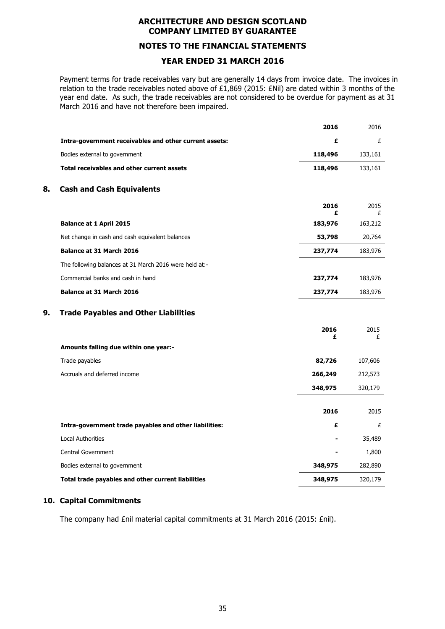# **NOTES TO THE FINANCIAL STATEMENTS**

## **YEAR ENDED 31 MARCH 2016**

Payment terms for trade receivables vary but are generally 14 days from invoice date. The invoices in relation to the trade receivables noted above of £1,869 (2015: £Nil) are dated within 3 months of the year end date. As such, the trade receivables are not considered to be overdue for payment as at 31 March 2016 and have not therefore been impaired.

|    |                                                        | 2016      | 2016      |
|----|--------------------------------------------------------|-----------|-----------|
|    | Intra-government receivables and other current assets: | £         | £         |
|    | Bodies external to government                          | 118,496   | 133,161   |
|    | <b>Total receivables and other current assets</b>      | 118,496   | 133,161   |
| 8. | <b>Cash and Cash Equivalents</b>                       |           |           |
|    |                                                        | 2016<br>£ | 2015<br>£ |
|    | <b>Balance at 1 April 2015</b>                         | 183,976   | 163,212   |
|    | Net change in cash and cash equivalent balances        | 53,798    | 20,764    |
|    | <b>Balance at 31 March 2016</b>                        | 237,774   | 183,976   |
|    | The following balances at 31 March 2016 were held at:- |           |           |
|    | Commercial banks and cash in hand                      | 237,774   | 183,976   |
|    | <b>Balance at 31 March 2016</b>                        | 237,774   | 183,976   |
| 9. | <b>Trade Payables and Other Liabilities</b>            |           |           |
|    |                                                        | 2016<br>£ | 2015<br>£ |
|    | Amounts falling due within one year:-                  |           |           |
|    | Trade payables                                         | 82,726    | 107,606   |
|    | Accruals and deferred income                           | 266,249   | 212,573   |
|    |                                                        | 348,975   | 320,179   |
|    |                                                        |           |           |
|    |                                                        | 2016      | 2015      |
|    | Intra-government trade payables and other liabilities: | £         | £         |
|    | <b>Local Authorities</b>                               |           | 35,489    |
|    | Central Government                                     |           | 1,800     |
|    | Bodies external to government                          | 348,975   | 282,890   |
|    | Total trade payables and other current liabilities     | 348,975   | 320,179   |

## **10. Capital Commitments**

The company had £nil material capital commitments at 31 March 2016 (2015: £nil).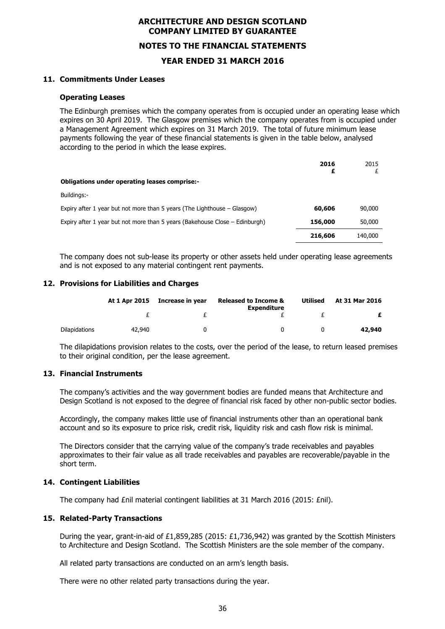## **NOTES TO THE FINANCIAL STATEMENTS**

## **YEAR ENDED 31 MARCH 2016**

#### **11. Commitments Under Leases**

#### **Operating Leases**

The Edinburgh premises which the company operates from is occupied under an operating lease which expires on 30 April 2019. The Glasgow premises which the company operates from is occupied under a Management Agreement which expires on 31 March 2019. The total of future minimum lease payments following the year of these financial statements is given in the table below, analysed according to the period in which the lease expires.

|                                                                             | 2016<br>£ | 2015    |
|-----------------------------------------------------------------------------|-----------|---------|
| <b>Obligations under operating leases comprise:-</b>                        |           |         |
| Buildings:-                                                                 |           |         |
| Expiry after 1 year but not more than 5 years (The Lighthouse $-$ Glasgow)  | 60,606    | 90,000  |
| Expiry after 1 year but not more than 5 years (Bakehouse Close – Edinburgh) | 156,000   | 50,000  |
|                                                                             | 216,606   | 140,000 |

The company does not sub-lease its property or other assets held under operating lease agreements and is not exposed to any material contingent rent payments.

## **12. Provisions for Liabilities and Charges**

| At 31 Mar 2016 | Utilised | <b>Released to Income &amp;</b><br><b>Expenditure</b> | Increase in year | At 1 Apr 2015 |               |
|----------------|----------|-------------------------------------------------------|------------------|---------------|---------------|
|                |          |                                                       |                  |               |               |
| 42,940         |          |                                                       |                  | 42,940        | Dilapidations |

The dilapidations provision relates to the costs, over the period of the lease, to return leased premises to their original condition, per the lease agreement.

## **13. Financial Instruments**

The company's activities and the way government bodies are funded means that Architecture and Design Scotland is not exposed to the degree of financial risk faced by other non-public sector bodies.

Accordingly, the company makes little use of financial instruments other than an operational bank account and so its exposure to price risk, credit risk, liquidity risk and cash flow risk is minimal.

The Directors consider that the carrying value of the company's trade receivables and payables approximates to their fair value as all trade receivables and payables are recoverable/payable in the short term.

## **14. Contingent Liabilities**

The company had £nil material contingent liabilities at 31 March 2016 (2015: £nil).

## **15. Related-Party Transactions**

During the year, grant-in-aid of £1,859,285 (2015: £1,736,942) was granted by the Scottish Ministers to Architecture and Design Scotland. The Scottish Ministers are the sole member of the company.

All related party transactions are conducted on an arm's length basis.

There were no other related party transactions during the year.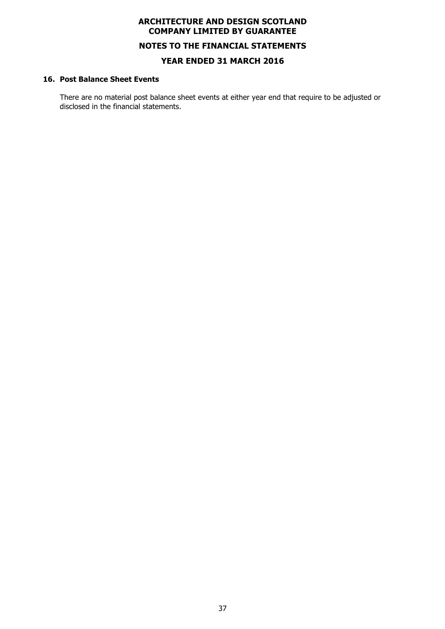# **ARCHITECTURE AND DESIGN SCOTLAND COMPANY LIMITED BY GUARANTEE NOTES TO THE FINANCIAL STATEMENTS YEAR ENDED 31 MARCH 2016**

## **16. Post Balance Sheet Events**

There are no material post balance sheet events at either year end that require to be adjusted or disclosed in the financial statements.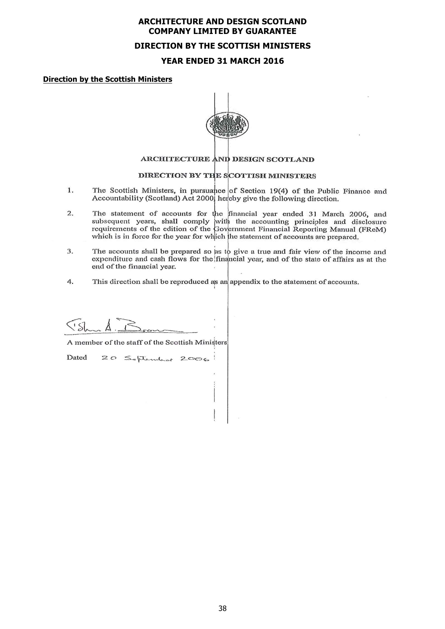## **DIRECTION BY THE SCOTTISH MINISTERS**

## **YEAR ENDED 31 MARCH 2016**

#### **Direction by the Scottish Ministers**



## ARCHITECTURE AND DESIGN SCOTLAND

# DIRECTION BY THE SCOTTISH MINISTERS

- $1.$ The Scottish Ministers, in pursuance of Section 19(4) of the Public Finance and Accountability (Scotland) Act 2000 hereby give the following direction.
- $2.$ The statement of accounts for the financial year ended 31 March 2006, and subsequent years, shall comply with the accounting principles and disclosure requirements of the edition of the Government Financial Reporting Manual (FReM) which is in force for the year for which the statement of accounts are prepared.
- The accounts shall be prepared so as to give a true and fair view of the income and expenditure and cash flows for the financial year, and of the state of affairs as at the 3. end of the financial year.
- 4. This direction shall be reproduced as an appendix to the statement of accounts.

A member of the staff of the Scottish Ministers

Dated 20 September 2006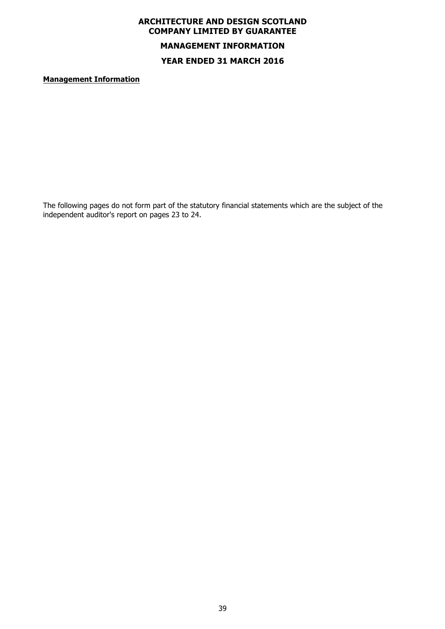# **ARCHITECTURE AND DESIGN SCOTLAND COMPANY LIMITED BY GUARANTEE MANAGEMENT INFORMATION YEAR ENDED 31 MARCH 2016**

**Management Information**

The following pages do not form part of the statutory financial statements which are the subject of the independent auditor's report on pages 23 to 24.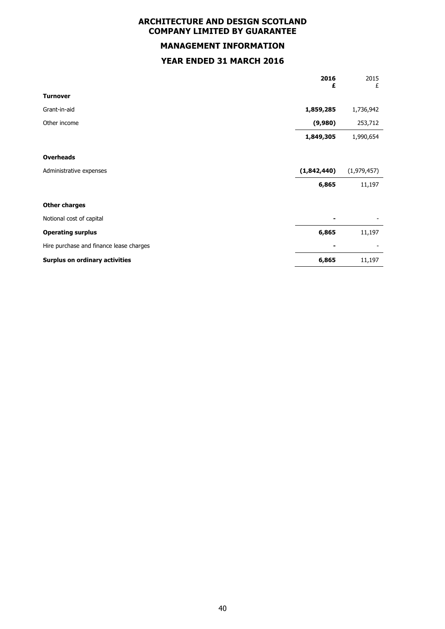# **ARCHITECTURE AND DESIGN SCOTLAND COMPANY LIMITED BY GUARANTEE MANAGEMENT INFORMATION YEAR ENDED 31 MARCH 2016**

|                                         | 2016<br>£   | 2015<br>£   |
|-----------------------------------------|-------------|-------------|
| <b>Turnover</b>                         |             |             |
| Grant-in-aid                            | 1,859,285   | 1,736,942   |
| Other income                            | (9,980)     | 253,712     |
|                                         | 1,849,305   | 1,990,654   |
| <b>Overheads</b>                        |             |             |
| Administrative expenses                 | (1,842,440) | (1,979,457) |
|                                         | 6,865       | 11,197      |
| <b>Other charges</b>                    |             |             |
| Notional cost of capital                |             |             |
| <b>Operating surplus</b>                | 6,865       | 11,197      |
| Hire purchase and finance lease charges |             |             |
| Surplus on ordinary activities          | 6,865       | 11,197      |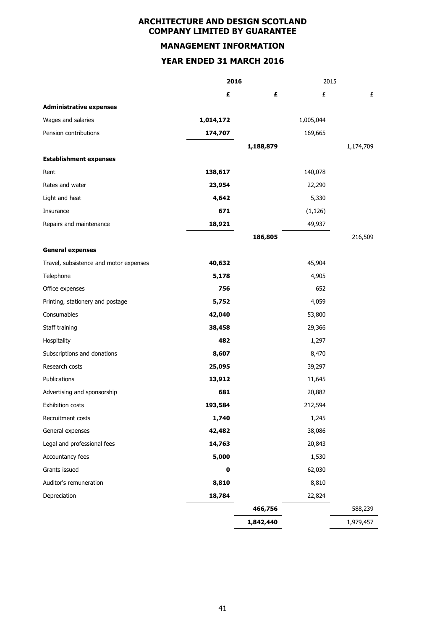# **MANAGEMENT INFORMATION**

# **YEAR ENDED 31 MARCH 2016**

|                                        |           | 2016      |           | 2015      |  |
|----------------------------------------|-----------|-----------|-----------|-----------|--|
|                                        | £         | £         | £         | £         |  |
| <b>Administrative expenses</b>         |           |           |           |           |  |
| Wages and salaries                     | 1,014,172 |           | 1,005,044 |           |  |
| Pension contributions                  | 174,707   |           | 169,665   |           |  |
|                                        |           | 1,188,879 |           | 1,174,709 |  |
| <b>Establishment expenses</b>          |           |           |           |           |  |
| Rent                                   | 138,617   |           | 140,078   |           |  |
| Rates and water                        | 23,954    |           | 22,290    |           |  |
| Light and heat                         | 4,642     |           | 5,330     |           |  |
| Insurance                              | 671       |           | (1, 126)  |           |  |
| Repairs and maintenance                | 18,921    |           | 49,937    |           |  |
|                                        |           | 186,805   |           | 216,509   |  |
| <b>General expenses</b>                |           |           |           |           |  |
| Travel, subsistence and motor expenses | 40,632    |           | 45,904    |           |  |
| Telephone                              | 5,178     |           | 4,905     |           |  |
| Office expenses                        | 756       |           | 652       |           |  |
| Printing, stationery and postage       | 5,752     |           | 4,059     |           |  |
| Consumables                            | 42,040    |           | 53,800    |           |  |
| Staff training                         | 38,458    |           | 29,366    |           |  |
| Hospitality                            | 482       |           | 1,297     |           |  |
| Subscriptions and donations            | 8,607     |           | 8,470     |           |  |
| Research costs                         | 25,095    |           | 39,297    |           |  |
| Publications                           | 13,912    |           | 11,645    |           |  |
| Advertising and sponsorship            | 681       |           | 20,882    |           |  |
| Exhibition costs                       | 193,584   |           | 212,594   |           |  |
| Recruitment costs                      | 1,740     |           | 1,245     |           |  |
| General expenses                       | 42,482    |           | 38,086    |           |  |
| Legal and professional fees            | 14,763    |           | 20,843    |           |  |
| Accountancy fees                       | 5,000     |           | 1,530     |           |  |
| Grants issued                          | 0         |           | 62,030    |           |  |
| Auditor's remuneration                 | 8,810     |           | 8,810     |           |  |
| Depreciation                           | 18,784    |           | 22,824    |           |  |
|                                        |           | 466,756   |           | 588,239   |  |
|                                        |           | 1,842,440 |           | 1,979,457 |  |